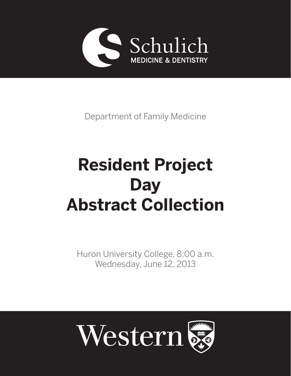

Department of Family Medicine

# **Resident Project Day Abstract Collection**

Huron University College, 8:00 a.m. Wednesday, June 12, 2013

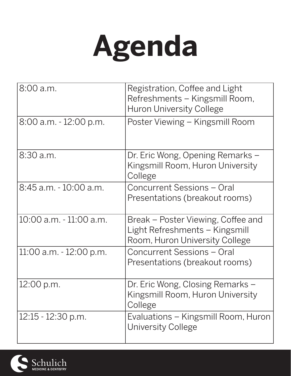

| 8:00 a.m.               | Registration, Coffee and Light<br>Refreshments - Kingsmill Room,<br><b>Huron University College</b>    |
|-------------------------|--------------------------------------------------------------------------------------------------------|
| 8:00 a.m. - 12:00 p.m.  | Poster Viewing – Kingsmill Room                                                                        |
| $8:30$ a.m.             | Dr. Eric Wong, Opening Remarks –<br>Kingsmill Room, Huron University<br>College                        |
| 8:45 a.m. - 10:00 a.m.  | Concurrent Sessions - Oral<br>Presentations (breakout rooms)                                           |
| 10:00 a.m. - 11:00 a.m. | Break – Poster Viewing, Coffee and<br>Light Refreshments – Kingsmill<br>Room, Huron University College |
| 11:00 a.m. - 12:00 p.m. | Concurrent Sessions - Oral<br>Presentations (breakout rooms)                                           |
| 12:00 p.m.              | Dr. Eric Wong, Closing Remarks –<br>Kingsmill Room, Huron University<br>College                        |
| $12:15 - 12:30$ p.m.    | Evaluations – Kingsmill Room, Huron<br>University College                                              |

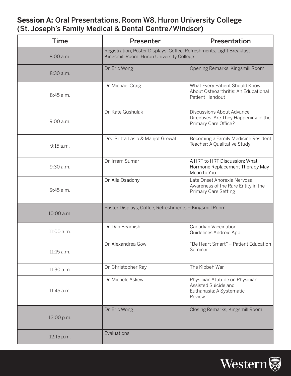# **Session A:** Oral Presentations, Room W8, Huron University College (St. Joseph's Family Medical & Dental Centre/Windsor)

| <b>Time</b> | Presenter                                                                                                          | Presentation                                                                                       |
|-------------|--------------------------------------------------------------------------------------------------------------------|----------------------------------------------------------------------------------------------------|
| 8:00 a.m.   | Registration, Poster Displays, Coffee, Refreshments, Light Breakfast -<br>Kingsmill Room, Huron University College |                                                                                                    |
| 8:30 a.m.   | Dr. Eric Wong                                                                                                      | Opening Remarks, Kingsmill Room                                                                    |
| 8:45 a.m.   | Dr. Michael Craig                                                                                                  | What Every Patient Should Know<br>About Osteoarthritis: An Educational<br>Patient Handout          |
| 9:00 a.m.   | Dr. Kate Gushulak                                                                                                  | <b>Discussions About Advance</b><br>Directives: Are They Happening in the<br>Primary Care Office?  |
| 9:15 a.m.   | Drs. Britta Laslo & Manjot Grewal                                                                                  | Becoming a Family Medicine Resident<br>Teacher: A Qualitative Study                                |
| 9:30 a.m.   | Dr. Irram Sumar                                                                                                    | A HRT to HRT Discussion: What<br>Hormone Replacement Therapy May<br>Mean to You                    |
| 9:45 a.m.   | Dr. Alla Osadchy                                                                                                   | Late Onset Anorexia Nervosa:<br>Awareness of the Rare Entity in the<br><b>Primary Care Setting</b> |
| 10:00 a.m.  | Poster Displays, Coffee, Refreshments - Kingsmill Room                                                             |                                                                                                    |
| 11:00 a.m.  | Dr. Dan Beamish                                                                                                    | Canadian Vaccination<br><b>Guidelines Android App</b>                                              |
| 11:15 a.m.  | Dr. Alexandrea Gow                                                                                                 | "Be Heart Smart" - Patient Education<br>Seminar                                                    |
| 11:30 a.m.  | Dr. Christopher Ray                                                                                                | The Kibbeh War                                                                                     |
| 11:45 a.m.  | Dr. Michele Askew                                                                                                  | Physician Attitude on Physician<br>Assisted Suicide and<br>Euthanasia: A Systematic<br>Review      |
| 12:00 p.m.  | Dr. Eric Wong                                                                                                      | Closing Remarks, Kingsmill Room                                                                    |
| 12:15 p.m.  | Evaluations                                                                                                        |                                                                                                    |

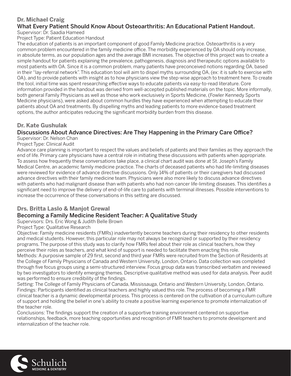# **Dr. Michael Craig**

#### What Every Patient Should Know About Osteoarthritis: An Educational Patient Handout. Supervisor: Dr. Saadia Hameed

Project Type: Patient Education Handout

The education of patients is an important component of good Family Medicine practice. Osteoarthritis is a very common problem encountered in the family medicine office. The morbidity experienced by OA should only increase, in absolute terms, as our population ages and the average BMI increases. The objective of this project was to create a simple handout for patients explaining the prevalence, pathogenesis, diagnosis and therapeutic options available to most patients with OA. Since it is a common problem, many patients have preconceived notions regarding OA, based in their "lay-referral network". This education tool will aim to dispel myths surrounding OA, (ex: it is safe to exercise with OA), and to provide patients with insight as to how physicians view the step-wise approach to treatment here. To create the tool, initial time was spent researching effective ways to educate patients via easy-to-read literature. Core information provided in the handout was derived from well-accepted published materials on the topic. More informally, both general Family Physicians as well as those who work exclusively in Sports Medicine, (Fowler Kennedy Sports Medicine physicians), were asked about common hurdles they have experienced when attempting to educate their patients about OA and treatments. By dispelling myths and leading patients to more evidence-based treatment options, the author anticipates reducing the significant morbidity burden from this disease.

#### **Dr. Kate Gushulak**

# Discussions About Advance Directives: Are They Happening in the Primary Care Office?

Supervisor: Dr. Nelson Chan Project Type: Clinical Audit

Advance care planning is important to respect the values and beliefs of patients and their families as they approach the end of life. Primary care physicians have a central role in initiating these discussions with patients when appropriate. To assess how frequently these conversations take place, a clinical chart audit was done at St. Joseph's Family Medical Centre, an academic family medicine practice. The charts of deceased patients who had life-limiting diseases were reviewed for evidence of advance directive discussions. Only 14% of patients or their caregivers had discussed advance directives with their family medicine team. Physicians were also more likely to discuss advance directives with patients who had malignant disease than with patients who had non-cancer life-limiting diseases. This identifies a significant need to improve the delivery of end-of-life care to patients with terminal illnesses. Possible interventions to increase the occurrence of these conversations in this setting are discussed.

# **Drs. Britta Laslo & Manjot Grewal**

#### Becoming a Family Medicine Resident Teacher: A Qualitative Study

Supervisors: Drs. Eric Wong & Judith Belle Brown

#### Project Type: Qualitative Research

Objective: Family medicine residents (FMRs) inadvertently become teachers during their residency to other residents and medical students. However, this particular role may not always be recognized or supported by their residency programs. The purpose of this study was to clarify how FMRs feel about their role as clinical teachers, how they perceive their roles as teachers, and what kind of support is needed to facilitate them enacting this role. Methods: A purposive sample of 29 first, second and third year FMRs were recruited from the Section of Residents at the College of Family Physicians of Canada and Western University, London, Ontario. Data collection was completed through five focus groups using a semi-structured interview. Focus group data was transcribed verbatim and reviewed by two investigators to identify emerging themes. Descriptive qualitative method was used for data analysis. Peer audit was performed to ensure credibility of the findings.

Setting: The College of Family Physicians of Canada, Mississauga, Ontario and Western University, London, Ontario. Findings: Participants identified as clinical teachers and highly valued this role. The process of becoming a FMR clinical teacher is a dynamic developmental process. This process is centered on the cultivation of a curriculum culture of support and holding the belief in one's ability to create a positive learning experience to promote internalization of the teacher role.

Conclusions: The findings support the creation of a supportive training environment centered on supportive relationships, feedback, more teaching opportunities and recognition of FMR teachers to promote development and internalization of the teacher role.

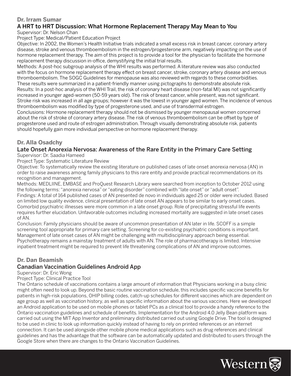#### **Dr. Irram Sumar**

# A HRT to HRT Discussion: What Hormone Replacement Therapy May Mean to You

Supervisor: Dr. Nelson Chan

Project Type: Medical/Patient Education Project

Objective: In 2002, the Women's Health Initiative trials indicated a small excess risk in breast cancer, coronary artery disease, stroke and venous thromboembolism in the estrogen/progesterone arm, negatively impacting on the use of hormone replacement therapy. The aim of this project is to provide a tool for the physician to facilitate the hormone replacement therapy discussion in-office, demystifying the initial trial results.

Methods: A post-hoc subgroup analysis of the WHI results was performed. A literature review was also conducted with the focus on hormone replacement therapy effect on breast cancer, stroke, coronary artery disease and venous thromboembolism. The SOGC Guidelines for menopause was also reviewed with regards to these comorbidities. These results were summarized in a patient-friendly manner using pictographs to demonstrate absolute risk. Results: In a post-hoc analysis of the WHI Trail, the risk of coronary heart disease (non-fatal MI) was not significantly increased in younger aged-women (50-59 years old). The risk of breast cancer, while present, was not significant. Stroke risk was increased in all age groups; however it was the lowest in younger aged women. The incidence of venous thromboembolism was modified by type of progesterone used, and use of transdermal estrogen.

Conclusions: Hormone replacement therapy should not be dismissed by younger menopausal women concerned about the risk of stroke of coronary artery disease. The risk of venous thromboembolism can be offset by type of progesterone used and route of estrogen administration. Through visually demonstrating absolute risk, patients should hopefully gain more individual perspective on hormone replacement therapy.

#### **Dr. Alla Osadchy**

#### Late Onset Anorexia Nervosa: Awareness of the Rare Entity in the Primary Care Setting Supervisor: Dr. Saadia Hameed

Project Type: Systematic Literature Review

Objective: To systematically review the existing literature on published cases of late onset anorexia nervosa (AN) in order to raise awareness among family physicians to this rare entity and provide practical recommendations on its recognition and management.

Methods: MEDLlINE, EMBASE and ProQuest Research Library were searched from inception to October 2012 using the following terms: "anorexia nervosa" or "eating disorder" combined with "late onset" or "adult onset". Findings: A total of 164 published cases of AN presented de novo in individuals aged 25 or older were included. Based on limited low quality evidence, clinical presentation of late onset AN appears to be similar to early onset cases. Comorbid psychiatric illnesses were more common in a late onset group. Role of precipitating stressful life events requires further elucidation. Unfavorable outcomes including increased mortality are suggested in late onset cases of AN.

Conclusion: Family physicians should be aware of uncommon presentation of AN later in life. SCOFF is a simple screening tool appropriate for primary care setting. Screening for co-existing psychiatric conditions is important. Management of late onset cases of AN might be challenging with multidisciplinary approach being essential. Psychotherapy remains a mainstay treatment of adults with AN. The role of pharmacotherapy is limited. Intensive inpatient treatment might be required to prevent life threatening complications of AN and improve outcomes.

#### **Dr. Dan Beamish**

#### Canadian Vaccination Guidelines Android App

Supervisor: Dr. Eric Wong

#### Project Type: Clinical Practice Tool

The Ontario schedule of vaccinations contains a large amount of information that Physicians working in a busy clinic might often need to look up. Beyond the basic routine vaccination schedule, this includes specific vaccine benefits for patients in high-risk populations, OHIP billing codes, catch-up schedules for different vaccines which are dependent on age group as well as vaccination history, as well as specific information about the various vaccines. Here we developed an Android application to be used on mobile phones or tablet PCs as a clinical tool to provide a handy reference to the Ontario vaccination guidelines and schedule of benefits. Implementation for the Android 4.0 Jelly Bean platform was carried out using the MIT App Inventor and preliminary distributed carried out using Google Drive. The tool is designed to be used in clinic to look up information quickly instead of having to rely on printed references or an internet connection. It can be used alongside other mobile phone medical applications such as drug references and clinical guidelines and has the advantage that the software can be automatically updated and distributed to users through the Google Store when there are changes to the Ontario Vaccination Guidelines.

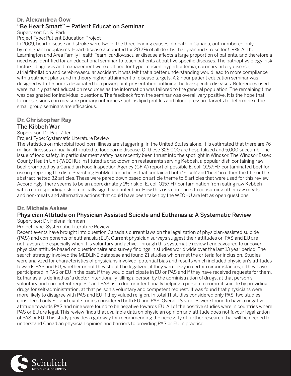#### **Dr. Alexandrea Gow**

#### "Be Heart Smart" – Patient Education Seminar

Supervisor: Dr. R. Park

#### Project Type: Patient Education Project

In 2009, heart disease and stroke were two of the three leading causes of death in Canada, out-numbered only by malignant neoplasms. Heart disease accounted for 20.7% of all deaths that year and stroke for 5.9%. At the Leamington and Area Family Health Team, cardiovascular disease affects a large proportion of patients, and therefore a need was identified for an educational seminar to teach patients about five specific diseases. The pathophysiology, risk factors, diagnosis and management were outlined for hypertension, hyperlipidemia, coronary artery disease, atrial fibrillation and cerebrovascular accident. It was felt that a better understanding would lead to more compliance with treatment plans and in theory higher attainment of disease targets. A 2 hour patient education seminar was designed with 1.5 hours designated to a powerpoint presentation outlining the five specific diseases. References used were mainly patient education resources as the information was tailored to the general population. The remaining time was designated for individual questions. The feedback from the seminar was overall very positive. It is the hope that future sessions can measure primary outcomes such as lipid profiles and blood pressure targets to determine if the small group seminars are efficacious.

#### **Dr. Christopher Ray** The Kibbeh War

Supervisor: Dr. Paul Ziter

Project Type: Systematic Literature Review

The statistics on microbial food-born illness are staggering. In the United States alone, It is estimated that there are 76 million illnesses annually attributed to foodborne disease. Of these 325,000 are hospitalized and 5,000 succumb. The issue of food safety, in particular meat safety has recently been thrust into the spotlight in Windsor. The Windsor Essex County Health Unit (WECHU) instituted a crackdown on restaurants serving Kebbeh, a popular dish containing raw beef prompted by a Canadian Food Inspection Agency (CFIA) report of possible E. coli O157:H7 contaminated beef for use in preparing the dish. Searching PubMed for articles that contained both 'E. coli' and 'beef' in either the title or the abstract netted 32 articles. These were pared down based on article theme to 5 articles that were used for this review. Accordingly, there seems to be an approximately 1% risk of E. coli O157:H7 contamination from eating raw Kebbeh with a corresponding risk of clinically significant infection. How this risk compares to consuming other raw meats and non-meats and alternative actions that could have been taken by the WECHU are left as open questions.

#### **Dr. Michele Askew**

# Physician Attitude on Physician Assisted Suicide and Euthanasia: A Systematic Review

Supervisor: Dr. Helena Hamdan

Project Type: Systematic Literature Review

Recent events have brought into question Canada's current laws on the legalization of physician-assisted suicide (PAS) and components of euthanasia (EU). Current physician surveys suggest their attitudes on PAS and EU are not favourable especially when it is voluntary and active. Through this systematic review I endeavoured to uncover physician attitude based on questionnaire and survey findings in studies world wide over the last 13 year period. The search strategy involved the MEDLINE database and found 21 studies which met the criteria for inclusion. Studies were analyzed for characteristics of physicians involved, potential bias and results which included physician's attitudes towards PAS and EU, whether or not they should be legalized, if they were okay in certain circumstances, if they have participated in PAS or EU in the past, if they would participate in EU or PAS and if they have received requests for them. Euthanasia is defined as 'a doctor intentionally killing a person by the administration of drugs, at that person's voluntary and competent request' and PAS as 'a doctor intentionally helping a person to commit suicide by providing drugs for self-administration, at that person's voluntary and competent request.' It was found that physicians were more likely to disagree with PAS and EU if they valued religion. In total 11 studies considered only PAS, two studies considered only EU and eight studies considered both EU and PAS. Overall 18 studies were found to have a negative attitude towards PAS and nine were found to be negative towards EU. All of the positive studies were in countries where PAS or EU are legal. This review finds that available data on physician opinion and attitude does not favour legalization of PAS or EU. This study provides a gateway for recommending the necessity of further research that will be needed to understand Canadian physician opinion and barriers to providing PAS or EU in practice.

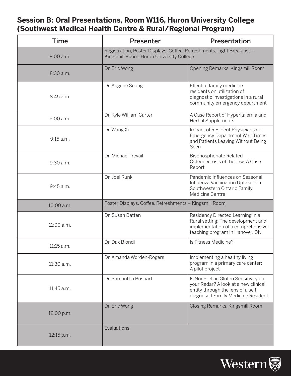# **Session B: Oral Presentations, Room W116, Huron University College (Southwest Medical Health Centre & Rural/Regional Program)**

| <b>Time</b> | <b>Presenter</b>                                                                                                   | Presentation                                                                                                                                           |
|-------------|--------------------------------------------------------------------------------------------------------------------|--------------------------------------------------------------------------------------------------------------------------------------------------------|
| 8:00 a.m.   | Registration, Poster Displays, Coffee, Refreshments, Light Breakfast -<br>Kingsmill Room, Huron University College |                                                                                                                                                        |
| 8:30 a.m.   | Dr. Eric Wong                                                                                                      | Opening Remarks, Kingsmill Room                                                                                                                        |
| 8:45 a.m.   | Dr. Augene Seong                                                                                                   | Effect of family medicine<br>residents on utilization of<br>diagnostic investigations in a rural<br>community emergency department                     |
| 9:00 a.m.   | Dr. Kyle William Carter                                                                                            | A Case Report of Hyperkalemia and<br><b>Herbal Supplements</b>                                                                                         |
| 9:15 a.m.   | Dr. Wang Xi                                                                                                        | Impact of Resident Physicians on<br><b>Emergency Department Wait Times</b><br>and Patients Leaving Without Being<br>Seen                               |
| 9:30 a.m.   | Dr. Michael Trevail                                                                                                | <b>Bisphosphonate Related</b><br>Osteonecrosis of the Jaw: A Case<br>Report                                                                            |
| 9:45 a.m.   | Dr. Joel Runk                                                                                                      | Pandemic Influences on Seasonal<br>Influenza Vaccination Uptake in a<br>Southwestern Ontario Family<br>Medicine Centre                                 |
| 10:00 a.m.  | Poster Displays, Coffee, Refreshments - Kingsmill Room                                                             |                                                                                                                                                        |
| 11:00 a.m.  | Dr. Susan Batten                                                                                                   | Residency Directed Learning in a<br>Rural setting: The development and<br>implementation of a comprehensive<br>teaching program in Hanover, ON.        |
| 11:15 a.m.  | Dr. Dax Biondi                                                                                                     | Is Fitness Medicine?                                                                                                                                   |
| 11:30 a.m.  | Dr. Amanda Worden-Rogers                                                                                           | Implementing a healthy living<br>program in a primary care center:<br>A pilot project                                                                  |
| 11:45 a.m.  | Dr. Samantha Boshart                                                                                               | Is Non-Celiac Gluten Sensitivity on<br>your Radar? A look at a new clinical<br>entity through the lens of a self<br>diagnosed Family Medicine Resident |
| 12:00 p.m.  | Dr. Eric Wong                                                                                                      | Closing Remarks, Kingsmill Room                                                                                                                        |
| 12:15 p.m.  | Evaluations                                                                                                        |                                                                                                                                                        |

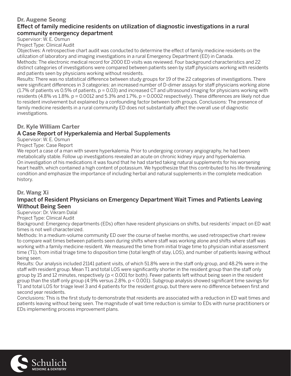#### **Dr. Augene Seong**

#### Effect of family medicine residents on utilization of diagnostic investigations in a rural community emergency department

Supervisor: W. E. Osmun

Project Type: Clinical Audit

Objectives: A retrospective chart audit was conducted to determine the effect of family medicine residents on the utilization of laboratory and imaging investigations in a rural Emergency Department (ED) in Canada.

Methods: The electronic medical record for 2000 ED visits was reviewed. Four background characteristics and 22 distinct categories of investigations were compared between patients seen by staff physicians working with residents and patients seen by physicians working without residents.

Results: There was no statistical difference between study groups for 19 of the 22 categories of investigations. There were significant differences in 3 categories: an increased number of D-dimer assays for staff physicians working alone (1.7% of patients vs 0.5% of patients, p = 0.03) and increased CT and ultrasound imaging for physicians working with residents (4.8% vs  $1.8\%$ . p = 0.0012 and 5.3% and  $1.7\%$ , p = 0.0002 respectively). These differences are likely not due to resident involvement but explained by a confounding factor between both groups. Conclusions: The presence of family medicine residents in a rural community ED does not substantially affect the overall use of diagnostic investigations.

#### **Dr. Kyle William Carter**

#### A Case Report of Hyperkalemia and Herbal Supplements

Supervisor: W. E. Osmun

Project Type: Case Report

We report a case of a man with severe hyperkalemia. Prior to undergoing coronary angiography, he had been metabolically stable. Follow up investigations revealed an acute on chronic kidney injury and hyperkalemia. On investigation of his medications it was found that he had started taking natural supplements for his worsening heart health, which contained a high content of potassium. We hypothesize that this contributed to his life-threatening condition and emphasize the importance of including herbal and natural supplements in the complete medication history.

#### **Dr. Wang Xi**

#### Impact of Resident Physicians on Emergency Department Wait Times and Patients Leaving Without Being Seen

Supervisor: Dr. Vikram Dalal

Project Type: Clinical Audit

Background: Emergency departments (EDs) often have resident physicians on shifts, but residents' impact on ED wait times is not well characterized.

Methods: In a medium-volume community ED over the course of twelve months, we used retrospective chart review to compare wait times between patients seen during shifts where staff was working alone and shifts where staff was working with a family medicine resident. We measured the time from initial triage time to physician initial assessment time (T1), from initial triage time to disposition time (total length of stay, LOS), and number of patients leaving without being seen.

Results: Our analysis included 21141 patient visits, of which 51.8% were in the staff only group, and 48.2% were in the staff with resident group. Mean T1 and total LOS were significantly shorter in the resident group than the staff only group by 15 and 12 minutes, respectively ( $p < 0.001$  for both). Fewer patients left without being seen in the resident group than the staff only group (4.9% versus 2.8%,  $p < 0.001$ ). Subgroup analysis showed significant time savings for T1 and total LOS for triage level 3 and 4 patients for the resident group, but there were no difference between first and second year residents.

Conclusions: This is the first study to demonstrate that residents are associated with a reduction in ED wait times and patients leaving without being seen. The magnitude of wait time reduction is similar to EDs with nurse practitioners or EDs implementing process improvement plans.

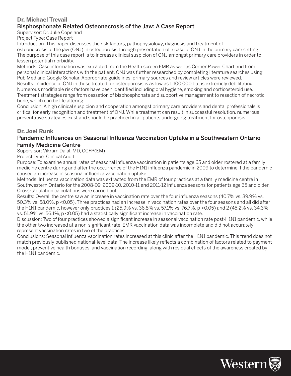# **Dr. Michael Trevail**

#### Bisphosphonate Related Osteonecrosis of the Jaw: A Case Report

Supervisor: Dr. Julie Copeland

Project Type: Case Report

Introduction: This paper discusses the risk factors, pathophysiology, diagnosis and treatment of osteonecrosis of the jaw (ONJ) in osteoporosis through presentation of a case of ONJ in the primary care setting. The purpose of this case report is to increase clinical suspicion of ONJ amongst primary care providers in order to lessen potential morbidity.

Methods: Case information was extracted from the Health screen EMR as well as Cerner Power Chart and from personal clinical interactions with the patient. ONJ was further researched by completing literature searches using Pub Med and Google Scholar. Appropriate guidelines, primary sources and review articles were reviewed. Results: Incidence of ONJ in those treated for osteoporosis is as low as 1:100,000 but is extremely debilitating. Numerous modifiable risk factors have been identified including oral hygiene, smoking and corticosteroid use. Treatment strategies range from cessation of bisphosphonate and supportive management to resection of necrotic bone, which can be life altering.

Conclusion: A high clinical suspicion and cooperation amongst primary care providers and dental professionals is critical for early recognition and treatment of ONJ. While treatment can result in successful resolution, numerous preventative strategies exist and should be practiced in all patients undergoing treatment for osteoporosis.

#### **Dr. Joel Runk**

#### Pandemic Influences on Seasonal Influenza Vaccination Uptake in a Southwestern Ontario Family Medicine Centre

Supervisor: Vikram Dalal, MD, CCFP(EM)

Project Type: Clinical Audit

Purpose: To examine annual rates of seasonal influenza vaccination in patients age 65 and older rostered at a family medicine centre during and after the occurrence of the H1N1 influenza pandemic in 2009 to determine if the pandemic caused an increase in seasonal influenza vaccination uptake.

Methods: Influenza vaccination data was extracted from the EMR of four practices at a family medicine centre in Southwestern Ontario for the 2008-09, 2009-10, 2010-11 and 2011-12 influenza seasons for patients age 65 and older. Cross-tabulation calculations were carried out.

Results: Overall the centre saw an increase in vaccination rate over the four influenza seasons (40.7% vs. 39.9% vs. 50.3% vs. 58.0%, p <0.05). Three practices had an increase in vaccination rates over the four seasons and all did after the H1N1 pandemic, however only practices 1 (25.9% vs. 36.8% vs. 57.1% vs. 76.7%, p <0.05) and 2 (45.2% vs. 34.3% vs. 51.9% vs. 56.1%, p <0.05) had a statistically significant increase in vaccination rate.

Discussion: Two of four practices showed a significant increase in seasonal vaccination rate post-H1N1 pandemic, while the other two increased at a non-significant rate. EMR vaccination data was incomplete and did not accurately represent vaccination rates in two of the practices.

Conclusions: Seasonal influenza vaccination rates increased at this clinic after the H1N1 pandemic. This trend does not match previously published national-level data. The increase likely reflects a combination of factors related to payment model, preventive health bonuses, and vaccination recording, along with residual effects of the awareness created by the H1N1 pandemic.

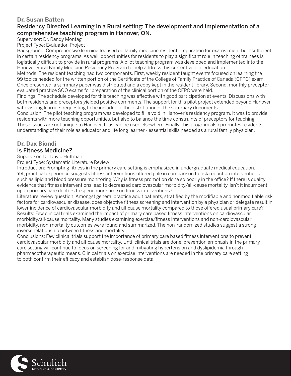#### **Dr. Susan Batten**

# Residency Directed Learning in a Rural setting: The development and implementation of a comprehensive teaching program in Hanover, ON.

Supervisor: Dr. Randy Montag

Project Type: Evaluation Project

Background: Comprehensive learning focused on family medicine resident preparation for exams might be insufficient in certain residency programs. As well, opportunities for residents to play a significant role in teaching of trainees is logistically difficult to provide in rural programs. A pilot teaching program was developed and implemented into the Hanover Rural Family Medicine Residency Program to help address this current void in education.

Methods: The resident teaching had two components. First, weekly resident taught events focused on learning the 99 topics needed for the written portion of the Certificate of the College of Family Practice of Canada (CFPC) exam. Once presented, a summary paper was distributed and a copy kept in the resident library. Second, monthly preceptor evaluated practice SOO exams for preparation of the clinical portion of the CFPC were held.

Findings: The schedule developed for this teaching was effective with good participation at events. Discussions with both residents and preceptors yielded positive comments. The support for this pilot project extended beyond Hanover with visiting learners requesting to be included in the distribution of the summary documents.

Conclusion: The pilot teaching program was developed to fill a void in Hanover's residency program. It was to provide residents with more teaching opportunities, but also to balance the time constraints of preceptors for teaching. These issues are not unique to Hanover, thus can be used elsewhere. Finally, this program also promotes residents understanding of their role as educator and life long learner - essential skills needed as a rural family physician.

#### **Dr. Dax Biondi**

#### Is Fitness Medicine?

Supervisor: Dr. David Huffman

Project Type: Systematic Literature Review

Introduction: Prompting fitness in the primary care setting is emphasized in undergraduate medical education. Yet, practical experience suggests fitness interventions offered pale in comparison to risk reduction interventions such as lipid and blood pressure monitoring. Why is fitness promotion done so poorly in the office? If there is quality evidence that fitness interventions lead to decreased cardiovascular morbidity/all-cause mortality, isn't it incumbent upon primary care doctors to spend more time on fitness interventions?

Literature review question: Amongst general practice adult patients, stratified by the modifiable and nonmodifiable risk factors for cardiovascular disease, does objective fitness screening and intervention by a physician or delegate result in lower incidence of cardiovascular morbidity and all-cause mortality compared to those offered usual primary care? Results: Few clinical trials examined the impact of primary care based fitness interventions on cardiovascular morbidity/all-cause mortality. Many studies examining exercise/fitness interventions and non-cardiovascular morbidity, non-mortality outcomes were found and summarized. The non-randomized studies suggest a strong inverse relationship between fitness and mortality.

Conclusions: Few clinical trials support the importance of primary care based fitness interventions to prevent cardiovascular morbidity and all-cause mortality. Until clinical trials are done, prevention emphasis in the primary care setting will continue to focus on screening for and mitigating hypertension and dyslipidemia through pharmacotherapeutic means. Clinical trials on exercise interventions are needed in the primary care setting to both confirm their efficacy and establish dose-response data.

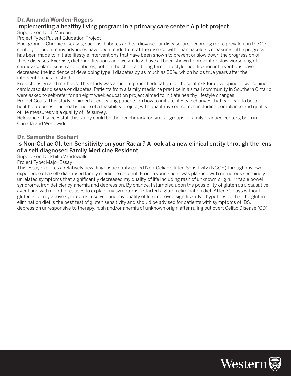# **Dr. Amanda Worden-Rogers**

#### Implementing a healthy living program in a primary care center: A pilot project Supervisor: Dr. J. Marcou

Project Type: Patient Education Project

Background: Chronic diseases, such as diabetes and cardiovascular disease, are becoming more prevalent in the 21st century. Though many advances have been made to treat the disease with pharmacologic measures, little progress has been made to initiate lifestyle interventions that have been shown to prevent or slow down the progression of these diseases. Exercise, diet modifications and weight loss have all been shown to prevent or slow worsening of cardiovascular disease and diabetes, both in the short and long term. Lifestyle modification interventions have decreased the incidence of developing type II diabetes by as much as 50%, which holds true years after the intervention has finished.

Project design and methods: This study was aimed at patient education for those at risk for developing or worsening cardiovascular disease or diabetes. Patients from a family medicine practice in a small community in Southern Ontario were asked to self-refer for an eight week education project aimed to initiate healthy lifestyle changes.

Project Goals: This study is aimed at educating patients on how to initiate lifestyle changes that can lead to better health outcomes. The goal is more of a feasibility project, with qualitative outcomes including compliance and quality of life measures via a quality of life survey.

Relevance: If successful, this study could be the benchmark for similar groups in family practice centers, both in Canada and Worldwide.

#### **Dr. Samantha Boshart**

#### Is Non-Celiac Gluten Sensitivity on your Radar? A look at a new clinical entity through the lens of a self diagnosed Family Medicine Resident

Supervisor: Dr. Philip Vandewalle

#### Project Type: Major Essay

This essay explores a relatively new diagnostic entity called Non-Celiac Gluten Sensitivity (NCGS) through my own experience of a self- diagnosed family medicine resident. From a young age I was plagued with numerous seemingly unrelated symptoms that significantly decreased my quality of life including rash of unknown origin, irritable bowel syndrome, iron deficiency anemia and depression. By chance, I stumbled upon the possibility of gluten as a causative agent and with no other causes to explain my symptoms, I started a gluten elimination diet. After 30 days without gluten all of my above symptoms resolved and my quality of life improved significantly. I hypothesize that the gluten elimination diet is the best test of gluten sensitivity and should be advised for patients with symptoms of IBS, depression unresponsive to therapy, rash and/or anemia of unknown origin after ruling out overt Celiac Disease (CD).

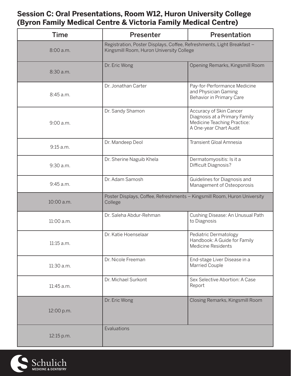# **Session C: Oral Presentations, Room W12, Huron University College (Byron Family Medical Centre & Victoria Family Medical Centre)**

| <b>Time</b> | Presenter                                                                                                          | <b>Presentation</b>                                                                                               |
|-------------|--------------------------------------------------------------------------------------------------------------------|-------------------------------------------------------------------------------------------------------------------|
| 8:00 a.m.   | Registration, Poster Displays, Coffee, Refreshments, Light Breakfast -<br>Kingsmill Room, Huron University College |                                                                                                                   |
| 8:30 a.m.   | Dr. Eric Wong                                                                                                      | Opening Remarks, Kingsmill Room                                                                                   |
| 8:45 a.m.   | Dr. Jonathan Carter                                                                                                | Pay-for-Performance Medicine<br>and Physician Gaming<br>Behavior in Primary Care                                  |
| 9:00 a.m.   | Dr. Sandy Shamon                                                                                                   | Accuracy of Skin Cancer<br>Diagnosis at a Primary Family<br>Medicine Teaching Practice:<br>A One-year Chart Audit |
| 9:15 a.m.   | Dr. Mandeep Deol                                                                                                   | <b>Transient Gloal Amnesia</b>                                                                                    |
| 9:30 a.m.   | Dr. Sherine Naguib Khela                                                                                           | Dermatomyositis: Is it a<br>Difficult Diagnosis?                                                                  |
| 9:45 a.m.   | Dr. Adam Samosh                                                                                                    | Guidelines for Diagnosis and<br>Management of Osteoporosis                                                        |
| 10:00 a.m.  | Poster Displays, Coffee, Refreshments - Kingsmill Room, Huron University<br>College                                |                                                                                                                   |
| 11:00 a.m.  | Dr. Saleha Abdur-Rehman                                                                                            | Cushing Disease: An Unusual Path<br>to Diagnosis                                                                  |
| 11:15 a.m.  | Dr. Katie Hoenselaar                                                                                               | Pediatric Dermatology<br>Handbook: A Guide for Family<br><b>Medicine Residents</b>                                |
| 11:30 a.m.  | Dr. Nicole Freeman                                                                                                 | End-stage Liver Disease in a<br>Married Couple                                                                    |
| 11:45 a.m.  | Dr. Michael Surkont                                                                                                | Sex Selective Abortion: A Case<br>Report                                                                          |
| 12:00 p.m.  | Dr. Eric Wong                                                                                                      | Closing Remarks, Kingsmill Room                                                                                   |
| 12:15 p.m.  | Evaluations                                                                                                        |                                                                                                                   |

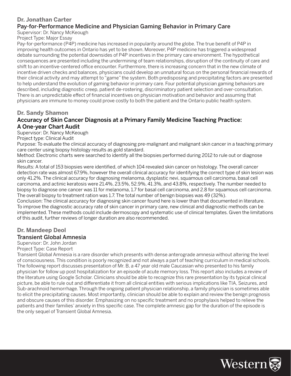#### **Dr. Jonathan Carter**

## Pay-for-Performance Medicine and Physician Gaming Behavior in Primary Care

Supervisor: Dr. Nancy McKeough

Project Type: Major Essay

Pay-for-performance (P4P) medicine has increased in popularity around the globe. The true benefit of P4P in improving health outcomes in Ontario has yet to be shown. Moreover, P4P medicine has triggered a widespread debate surrounding the potential downsides of P4P incentives in the primary care environment. The hypothetical consequences are presented including the undermining of team relationships, disruption of the continuity of care and shift to an incentive-centered office encounter. Furthermore, there is increasing concern that in the new climate of incentive driven checks and balances, physicians could develop an unnatural focus on the personal financial rewards of their clinical activity and may attempt to "game" the system. Both predisposing and precipitating factors are presented to help understand the evolution of gaming behavior in primary care. Four potential physician gaming behaviors are described, including diagnostic creep, patient de-rostering, discriminatory patient selection and over-consultation. There is an unpredictable effect of financial incentives on physician motivation and behavior and assuming that physicians are immune to money could prove costly to both the patient and the Ontario public health system.

#### **Dr. Sandy Shamon**

#### Accuracy of Skin Cancer Diagnosis at a Primary Family Medicine Teaching Practice: A One-year Chart Audit

Supervisor: Dr. Nancy McKeough

Project type: Clinical Audit

Purpose: To evaluate the clinical accuracy of diagnosing pre-malignant and malignant skin cancer in a teaching primary care center using biopsy histology results as gold standard.

Method: Electronic charts were searched to identify all the biopsies performed during 2012 to rule out or diagnose skin cancer.

Results: A total of 153 biopsies were identified, of which 104 revealed skin cancer on histology. The overall cancer detection rate was almost 67.9%, however the overall clinical accuracy for identifying the correct type of skin lesion was only 41.2%. The clinical accuracy for diagnosing melanoma, dysplastic nevi, squamous cell carcinoma, basal cell carcinoma, and actinic keratosis were 21.4%, 23.5%, 52.9%, 41.3%, and 43.8%, respectively. The number needed to biopsy to diagnose one cancer was 11 for melanoma, 1.7 for basal cell carcinoma, and 2.8 for squamous cell carcinoma. The overall biopsy to treatment ration was 1.7. The total number of benign biopsies was 49 (32%).

Conclusion: The clinical accuracy for diagnosing skin cancer found here is lower than that documented in literature. To improve the diagnostic accuracy rate of skin cancer in primary care, new clinical and diagnostic methods can be implemented. These methods could include dermoscopy and systematic use of clinical templates. Given the limitations of this audit, further reviews of longer duration are also recommended.

# **Dr. Mandeep Deol**

# Transient Global Amnesia

Supervisor: Dr. John Jordan

#### Project Type: Case Report

Transient Global Amnesia is a rare disorder which presents with dense anterograde amnesia without altering the level of consciousness. This condition is poorly recognized and not always a part of teaching curriculum in medical schools. The following report discusses presentation of Mr. B, a 47 year old male Caucasian who presented to his family physician for follow up post hospitalization for an episode of acute memory loss. This report also includes a review of the literature using Google Scholar. Clinicians should be able to recognize this rare presentation by its typical clinical picture, be able to rule out and differentiate it from all clinical entities with serious implications like TIA, Seizures, and Sub-arachnoid hemorrhage. Through the ongoing patient physician relationship, a family physician is sometimes able to elicit the precipitating causes. Most importantly, clinician should be able to explain and review the benign prognosis and obscure causes of this disorder. Emphasizing on no specific treatment and no prophylaxis helped to relieve the patients and their families' anxiety in this specific case. The complete amnesic gap for the duration of the episode is the only sequel of Transient Global Amnesia.

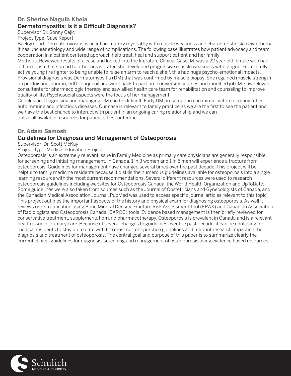# **Dr. Sherine Naguib Khela**

# Dermatomyositis: Is it a Difficult Diagnosis?

Supervisor Dr. Sonny Cejic

Project Type: Case Report

Background: Dermatomyositis is an inflammatory myopathy with muscle weakness and characteristic skin exanthema. It has unclear etiology and wide range of complications. The following case illustrates how patient advocacy and team cooperation in a patient centered approach help treat, heal and support patient and her family.

Methods: Reviewed results of a case and looked into the literature Clinical Case: M. was a 22 year old female who had left arm rash that spread to other areas. Later, she developed progressive muscle weakness with fatigue. From a fully active young fire fighter to being unable to raise an arm to reach a shelf, this had huge psycho-emotional impacts. Provisional diagnosis was Dermatomyositis (DM) that was confirmed by muscle biopsy. She regained muscle strength on prednisone, imuran, IVIG, blaquenil and went back to part time university courses and modified job. M. saw relevant consultants for pharmacologic therapy and saw allied health care team for rehabilitation and counseling to improve quality of life. Psychosocial aspects were the focus of her management.

Conclusion: Diagnosing and managing DM can be difficult. Early DM presentation can mimic picture of many other autoimmune and infectious diseases. Our case is relevant to family practice as we are the first to see the patient and we have the best chance to interact with patient in an ongoing caring relationship and we can utilize all available resources for patient's best outcome.

# **Dr. Adam Samosh**

# Guidelines for Diagnosis and Management of Osteoporosis

Supervisor: Dr. Scott McKay

Project Type: Medical Education Project

Osteoporosis is an extremely relevant issue in Family Medicine as primary care physicians are generally responsible for screening and initiating management. In Canada, 1 in 3 women and 1 in 5 men will experience a fracture from osteoporosis. Guidelines for management have changed several times over the past decade. This project will be helpful to family medicine residents because it distills the numerous guidelines available for osteoporosis into a single learning resource with the most current recommendations. Several different resources were used to research osteoporosis guidelines including websites for Osteoporosis Canada, the World Health Organization and UpToDate. Some guidelines were also taken from sources such as the Journal of Obstetricians and Gynecologists of Canada, and the Canadian Medical Association Journal. PubMed was used to access specific journal articles relevant to this topic. This project outlines the important aspects of the history and physical exam for diagnosing osteoporosis. As well it reviews risk stratification using Bone Mineral Density, Fracture Risk Assessment Tool (FRAX) and Canadian Association of Radiologists and Osteoporosis Canada (CAROC) tools. Evidence based management is then briefly reviewed for conservative treatment, supplementation and pharmacotherapy. Osteoporosis is prevalent in Canada and is a relevant health issue in primary care. Because of several changes to guidelines over the past decade, it can be confusing for medical residents to stay up to date with the most current practice guidelines and relevant research impacting the diagnosis and treatment of osteoporosis. The central goal and purpose of this paper is to summarize clearly the current clinical guidelines for diagnosis, screening and management of osteoporosis using evidence based resources.

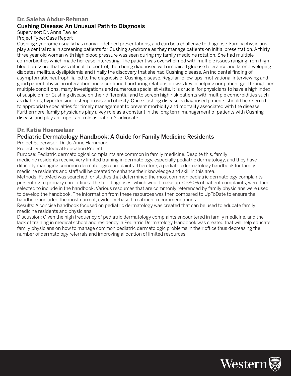#### **Dr. Saleha Abdur-Rehman**

# Cushing Disease: An Unusual Path to Diagnosis

Supervisor: Dr. Anna Pawlec

Project Type: Case Report

Cushing syndrome usually has many ill-defined presentations, and can be a challenge to diagnose. Family physicians play a central role in screening patients for Cushing syndrome as they manage patients on initial presentation. A thirty three year old woman with high blood pressure was seen during my family medicine rotation. She had multiple co-morbidities which made her case interesting. The patient was overwhelmed with multiple issues ranging from high blood pressure that was difficult to control, then being diagnosed with impaired glucose tolerance and later developing diabetes mellitus, dyslipidemia and finally the discovery that she had Cushing disease. An incidental finding of asymptomatic neutrophilia led to the diagnosis of Cushing disease. Regular follow-ups, motivational interviewing and good patient physician interaction and a continued nurturing relationship was key in helping our patient get through her multiple conditions, many investigations and numerous specialist visits. It is crucial for physicians to have a high index of suspicion for Cushing disease on their differential and to screen high risk patients with multiple comorbidities such as diabetes, hypertension, osteoporosis and obesity. Once Cushing disease is diagnosed patients should be referred to appropriate specialties for timely management to prevent morbidity and mortality associated with the disease. Furthermore, family physicians play a key role as a constant in the long term management of patients with Cushing disease and play an important role as patient's advocate.

#### **Dr. Katie Hoenselaar**

#### Pediatric Dermatology Handbook: A Guide for Family Medicine Residents

Project Supervisor: Dr. Jo-Anne Hammond

Project Type: Medical Education Project

Purpose: Pediatric dermatological complaints are common in family medicine. Despite this, family medicine residents receive very limited training in dermatology, especially pediatric dermatology, and they have difficulty managing common dermatologic complaints. Therefore, a pediatric dermatology handbook for family medicine residents and staff will be created to enhance their knowledge and skill in this area.

Methods: PubMed was searched for studies that determined the most common pediatric dermatology complaints presenting to primary care offices. The top diagnoses, which would make up 70-80% of patient complaints, were then selected to include in the handbook. Various resources that are commonly referenced by family physicians were used to develop the handbook. The information from these resources was then compared to UpToDate to ensure the handbook included the most current, evidence-based treatment recommendations.

Results: A concise handbook focused on pediatric dermatology was created that can be used to educate family medicine residents and physicians.

Discussion: Given the high frequency of pediatric dermatology complaints encountered in family medicine, and the lack of training in medical school and residency, a Pediatric Dermatology Handbook was created that will help educate family physicians on how to manage common pediatric dermatologic problems in their office thus decreasing the number of dermatology referrals and improving allocation of limited resources.

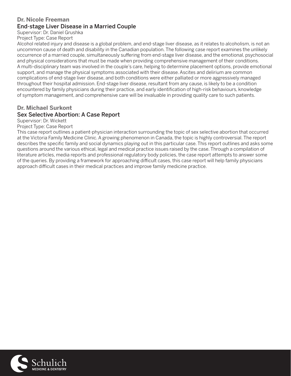#### **Dr. Nicole Freeman** End-stage Liver Disease in a Married Couple

Supervisor: Dr. Daniel Grushka

Project Type: Case Report

Alcohol related injury and disease is a global problem, and end-stage liver disease, as it relates to alcoholism, is not an uncommon cause of death and disability in the Canadian population. The following case report examines the unlikely occurrence of a married couple, simultaneously suffering from end-stage liver disease, and the emotional, psychosocial and physical considerations that must be made when providing comprehensive management of their conditions. A multi-disciplinary team was involved in the couple's care, helping to determine placement options, provide emotional support, and manage the physical symptoms associated with their disease. Ascites and delirium are common complications of end-stage liver disease, and both conditions were either palliated or more aggressively managed throughout their hospital admission. End-stage liver disease, resultant from any cause, is likely to be a condition encountered by family physicians during their practice, and early identification of high-risk behaviours, knowledge of symptom management, and comprehensive care will be invaluable in providing quality care to such patients.

#### **Dr. Michael Surkont**  Sex Selective Abortion: A Case Report

Supervisor: Dr. Wickett

Project Type: Case Report

This case report outlines a patient-physician interaction surrounding the topic of sex selective abortion that occurred at the Victoria Family Medicine Clinic. A growing phenomenon in Canada, the topic is highly controversial. The report describes the specific family and social dynamics playing out in this particular case. This report outlines and asks some questions around the various ethical, legal and medical practice issues raised by the case. Through a compilation of literature articles, media reports and professional regulatory body policies, the case report attempts to answer some of the queries. By providing a framework for approaching difficult cases, this case report will help family physicians approach difficult cases in their medical practices and improve family medicine practice.

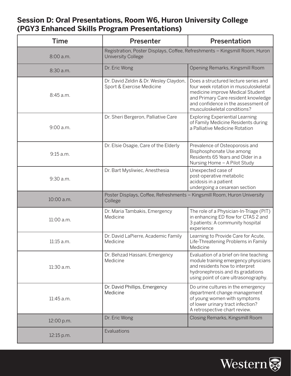# **Session D: Oral Presentations, Room W6, Huron University College (PGY3 Enhanced Skills Program Presentations)**

| <b>Time</b> | Presenter                                                                                                | Presentation                                                                                                                                                                                                                   |
|-------------|----------------------------------------------------------------------------------------------------------|--------------------------------------------------------------------------------------------------------------------------------------------------------------------------------------------------------------------------------|
| 8:00 a.m.   | Registration, Poster Displays, Coffee, Refreshments - Kingsmill Room, Huron<br><b>University College</b> |                                                                                                                                                                                                                                |
| 8:30a.m.    | Dr. Eric Wong                                                                                            | Opening Remarks, Kingsmill Room                                                                                                                                                                                                |
| 8:45 a.m.   | Dr. David Zeldin & Dr. Wesley Claydon,<br>Sport & Exercise Medicine                                      | Does a structured lecture series and<br>four week rotation in musculoskeletal<br>medicine improve Medical Student<br>and Primary Care resident knowledge<br>and confidence in the assessment of<br>musculoskeletal conditions? |
| 9:00 a.m.   | Dr. Sheri Bergeron, Palliative Care                                                                      | <b>Exploring Experiential Learning</b><br>of Family Medicine Residents during<br>a Palliative Medicine Rotation                                                                                                                |
| 9:15 a.m.   | Dr. Elsie Osagie, Care of the Elderly                                                                    | Prevalence of Osteoporosis and<br>Bisphosphonate Use among<br>Residents 65 Years and Older in a<br>Nursing Home - A Pilot Study                                                                                                |
| 9:30 a.m.   | Dr. Bart Mysliwiec, Anesthesia                                                                           | Unexpected case of<br>post-operative metabolic<br>acidosis in a patient<br>undergoing a cesarean section                                                                                                                       |
| 10:00 a.m.  | Poster Displays, Coffee, Refreshments - Kingsmill Room, Huron University<br>College                      |                                                                                                                                                                                                                                |
| 11:00 a.m.  | Dr. Maria Tambakis, Emergency<br>Medicine                                                                | The role of a Physician-In-Triage (PIT)<br>in enhancing ED flow for CTAS 2 and<br>3 patients: A community hospital<br>experience                                                                                               |
| 11:15 a.m.  | Dr. David LaPierre, Academic Family<br>Medicine                                                          | Learning to Provide Care for Acute,<br>Life-Threatening Problems in Family<br>Medicine                                                                                                                                         |
| 11:30 a.m.  | Dr. Behzad Hassani, Emergency<br>Medicine                                                                | Evaluation of a brief on-line teaching<br>module training emergency physicians<br>and residents how to interpret<br>hydronephrosis and its gradations<br>using point of care ultrasonography.                                  |
| 11:45 a.m.  | Dr. David Phillips, Emergency<br>Medicine                                                                | Do urine cultures in the emergency<br>department change management<br>of young women with symptoms<br>of lower urinary tract infection?<br>A retrospective chart review.                                                       |
| 12:00 p.m.  | Dr. Eric Wong                                                                                            | Closing Remarks, Kingsmill Room                                                                                                                                                                                                |
| 12:15 p.m.  | Evaluations                                                                                              |                                                                                                                                                                                                                                |

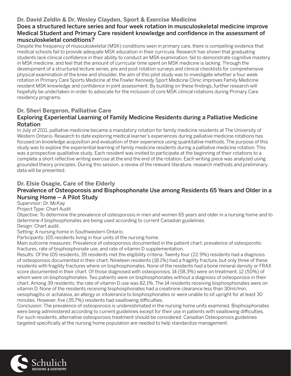## **Dr. David Zeldin & Dr. Wesley Clayden, Sport & Exercise Medicine**

#### Does a structured lecture series and four week rotation in musculoskeletal medicine improve Medical Student and Primary Care resident knowledge and confidence in the assessment of musculoskeletal conditions?

Despite the frequency of musculoskeletal (MSK) conditions seen in primary care, there is compelling evidence that medical schools fail to provide adequate MSK education in their curricula. Research has shown that graduating students lack clinical confidence in their ability to conduct an MSK examination, fail to demonstrate cognitive mastery in MSK medicine, and feel that the amount of curricular time spent on MSK medicine is lacking. Through the development of a structured lecture series, pre and post rotation surveys and clinical checklists for comprehensive physical examination of the knee and shoulder, the aim of this pilot study was to investigate whether a four week rotation in Primary Care Sports Medicine at the Fowler Kennedy Sport Medicine Clinic improves Family Medicine resident MSK knowledge and confidence in joint assessment. By building on these findings, further research will hopefully be undertaken in order to advocate for the inclusion of core MSK clinical rotations during Primary Care residency programs.

#### **Dr. Sheri Bergeron, Palliative Care**

#### Exploring Experiential Learning of Family Medicine Residents during a Palliative Medicine Rotation

In July of 2011, palliative medicine became a mandatory rotation for family medicine residents at The University of Western Ontario. Research to date exploring medical learner's experiences during palliative medicine rotations has focused on knowledge acquisition and evaluation of their experience using quantitative methods. The purpose of this study was to explore the experiential learning of family medicine residents during a palliative medicine rotation. This was a prospective qualitative study. Each resident was invited to participate at the beginning of their rotations to a complete a short reflective writing exercise at the end the end of the rotation. Each writing piece was analyzed using grounded theory principles. During this session, a review of the relevant literature, research methods and preliminary data will be presented.

# **Dr. Elsie Osagie, Care of the Elderly**

## Prevalence of Osteoporosis and Bisphosphonate Use among Residents 65 Years and Older in a Nursing Home – A Pilot Study

Supervisor: Dr. McKay

Project Type: Chart Audit

Objective: To determine the prevalence of osteoporosis in men and women 65 years and older in a nursing home and to determine if bisphosphonates are being used according to current Canadian guidelines.

Design: Chart audit.

Setting: A nursing home in Southwestern Ontario.

Participants: 105 residents living in four units of the nursing home.

Main outcome measures: Prevalence of osteoporosis documented in the patient chart, prevalence of osteoporotic fractures, rate of bisphosphonate use, and rate of vitamin D supplementation.

Results: Of the 105 residents, 39 residents met the eligibility criteria. Twenty four (22.9%) residents had a diagnosis of osteoporosis documented in their chart. Nineteen residents (18.1%) had a fragility fracture, but only three of these residents with fragility fractures where on bisphosphonates. None of the residents had a bone mineral density or FRAX score documented in their chart. Of those diagnosed with osteoporosis, 14 (58.3%) were on treatment, 12 (50%) of whom were on bisphosphonates. Two patients were on bisphosphonates without a diagnosis of osteoporosis in their chart. Among 39 residents, the rate of vitamin D use was 82.1%. The 14 residents receiving bisphosphonates were on vitamin D. None of the residents receiving bisphosphonates had a creatinine clearance less than 30ml/min, oesophagitis or achalasia, an allergy or intolerance to bisphosphonates or were unable to sit upright for at least 30 minutes. However, five (35.7%) residents had swallowing difficulties.

Conclusion: The prevalence of osteoporosis is underestimated in the nursing home units examined. Bisphosphonates were being administered according to current guidelines except for their use in patients with swallowing difficulties. For such residents, alternative osteoporosis treatment should be considered. Canadian Osteoporosis guidelines targeted specifically at the nursing home population are needed to help standardize management.

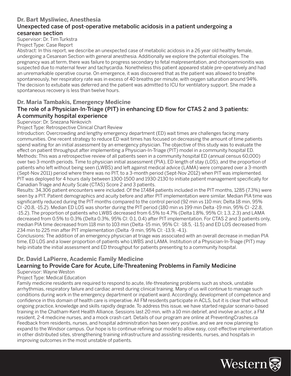#### **Dr. Bart Mysliwiec, Anesthesia** Unexpected case of post-operative metabolic acidosis in a patient undergoing a cesarean section

Supervisor: Dr. Tim Turkstra

Project Type: Case Report

Abstract: In this report, we describe an unexpected case of metabolic acidosis in a 26 year old healthy female, undergoing a Cesarean Section with general anesthesia. Additionally we explore the potential etiologies. The pregnancy was at term, there was failure to progress secondary to fetal malpresentation, and chorioamnionitis was suspected due to maternal fever and tachycardia. Nonetheless this patient appeared stable pre-operatively and had an unremarkable operative course. On emergence, it was discovered that as the patient was allowed to breathe spontaneously, her respiratory rate was in excess of 40 breaths per minute, with oxygen saturation around 94%. The decision to extubate was deferred and the patient was admitted to ICU for ventilatory support. She made a spontaneous recovery is less than twelve hours.

#### **Dr. Maria Tambakis, Emergency Medicine**

## The role of a Physician-In-Triage (PIT) in enhancing ED flow for CTAS 2 and 3 patients: A community hospital experience

#### Supervisor: Dr. Snezana Ninkovich

Project Type: Retrospective Clinical Chart Review

Introduction: Overcrowding and lengthy emergency department (ED) wait times are challenges facing many communities. One recent strategy to reduce ED wait times has focused on decreasing the amount of time patients spend waiting for an initial assessment by an emergency physician. The objective of this study was to evaluate the effect on patient throughput after implementing a Physician-In-Triage (PIT) model in a community hospital ED. Methods: This was a retrospective review of all patients seen in a community hospital ED (annual census 60,000) over two 3-month periods. Time to physician initial assessment (PIA), ED length of stay (LOS), and the proportion of patients who left without being seen (LWBS) and left against medical advice (LAMA) were compared over a 3-month (Sept-Nov 2011) period where there was no PIT, to a 3-month period (Sept-Nov 2012) when PIT was implemented. PIT was deployed for 4 hours daily between 1300-1500 and 1930-2130 to initiate patient management specifically for Canadian Triage and Acuity Scale (CTAS) Score 2 and 3 patients.

Results: 34,306 patient encounters were included. Of the 17,484 patients included in the PIT months, 1285 (7.3%) were seen by a PIT. Patient demographics and acuity before and after PIT implementation were similar. Median PIA time was significantly reduced during the PIT months compared to the control period (92 min vs 110 min; Delta 18 min, 95% CI -20.8, -15.2). Median ED LOS was shorter during the PIT period (180 min vs 199 min Delta -19 min, 95% CI -22.8, -15.2). The proportion of patients who LWBS decreased from 6.5% to 4.7% (Delta 1.8%, 95% CI: 1.3, 2.3) and LAMA decreased from 0.5% to 0.3% (Delta 0.3%, 95% CI: 0.1, 0.4) after PIT implementation. For CTAS 2 and 3 patients only, median PIA time decreased from 118 min to 103 min (Delta -15 min, 95% CI: -18.5, -11.5) and ED LOS decreased from 234 min to 225 min after PIT implementation (Delta -9 min, 95% CI: -13.9, -4.1).

Conclusions: The addition of an emergency physician at triage was associated with an overall decrease in median PIA time, ED LOS and a lower proportion of patients who LWBS and LAMA. Institution of a Physician-In-Triage (PIT) may help initiate the initial assessment and ED throughput for patients presenting to a community hospital.

#### **Dr. David LaPierre, Academic Family Medicine**

# Learning to Provide Care for Acute, Life-Threatening Problems in Family Medicine

Supervisor: Wayne Weston

Project Type: Medical Education

Family medicine residents are required to respond to acute, life-threatening problems such as shock, unstable arrhythmias, respiratory failure and cardiac arrest during clinical training. Many of us will continue to manage such conditions during work in the emergency department or inpatient ward. Accordingly, development of competence and confidence in this domain of health care is imperative. All FM residents participate in ACLS, but it is clear that without ongoing practice, knowledge and skills rapidly degrade. To address this issue, we have started regular scenario-based training in the Chatham-Kent Health Alliance. Sessions last 20 min, with a 10 min debrief, and involve an actor, a FM resident, 2-4 medicine nurses, and a mock crash cart. Details of our program are online at PreventingCrashes.ca Feedback from residents, nurses, and hospital administration has been very positive, and we are now planning to expand to the Windsor campus. Our hope is to continue refining our model to allow easy, cost-effective implementation in other distributed sites, strengthening training infrastructure and assisting residents, nurses, and hospitals in improving outcomes in the most unstable of patients.

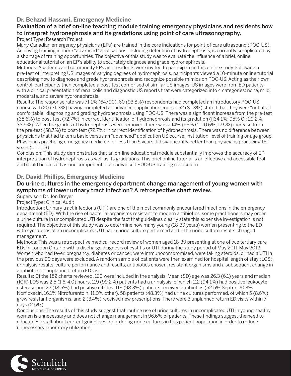## **Dr. Behzad Hassani, Emergency Medicine**

# Evaluation of a brief on-line teaching module training emergency physicians and residents how to interpret hydronephrosis and its gradations using point of care ultrasonography.

#### Project Type: Research Project

Many Canadian emergency physicians (EPs) are trained in the core indications for point-of-care ultrasound (POC-US). Achieving training in more "advanced" applications, including detection of hydronephrosis, is currently complicated by a shortage of training opportunities. The objective of this study was to evaluate the influence of a brief, online educational tutorial on an EP's ability to accurately diagnose and grade hydronephrosis.

Methods: Academic and community EPs and residents were invited to participate in this online study. Following a pre-test of interpreting US images of varying degrees of hydronephrosis, participants viewed a 10-minute online tutorial describing how to diagnose and grade hydronephrosis and recognize possible mimics on POC-US. Acting as their own control, participants then completed a post-test comprised of similar US images. US images were from ED patients with a clinical presentation of renal colic and diagnostic US reports that were categorized into 4 categories: none, mild, moderate, and severe hydronephrosis.

Results: The response rate was 71.1% (64/90). 60 (93.8%) respondents had completed an introductory POC-US course with 20 (31.3%) having completed an advanced application course. 52 (81.3%) stated that they were "not at all comfortable" diagnosing and grading hydronephrosis using POC-US. There was a significant increase from the pre-test (38.6%) to post-test (72.7%) in correct identification of hydronephrosis and its gradation (fj34.1%; 95% CI: 29.2%, 38.9%). When the grades of hydronephrosis were removed, there was a 14% (95% CI: 10.6%, 17.5%) increase from the pre-test (58.7%) to post-test (72.7%) in correct identification of hydronephrosis. There was no difference between physicians that had taken a basic versus an "advanced" application US course, institution, level of training or age group. Physicians practicing emergency medicine for less than 5 years did significantly better than physicians practicing 15+ years (p=0.03).

Conclusion: This study demonstrates that an on-line educational module substantially improves the accuracy of EP interpretation of hydronephrosis as well as its gradations. This brief online tutorial is an effective and accessible tool and could be utilized as one component of an advanced POC-US training curriculum.

#### **Dr. David Phillips, Emergency Medicine**

#### Do urine cultures in the emergency department change management of young women with symptoms of lower urinary tract infection? A retrospective chart review.

Supervisor: Dr. Jon Dreyer

Project Type: Clinical Audit

Introduction: Urinary tract infections (UTI) are one of the most commonly encountered infections in the emergency department (ED). With the rise of bacterial organisms resistant to modern antibiotics, some practitioners may order a urine culture in uncomplicated UTI despite the fact that guidelines clearly state this expensive investigation is not required. The objective of this study was to determine how many young (18-39 years) women presenting to the ED with symptoms of an uncomplicated UTI had a urine culture performed and if the urine culture results changed management.

Methods: This was a retrospective medical record review of women aged 18-39 presenting at one of two tertiary care EDs in London Ontario with a discharge diagnosis of cystitis or UTI during the study period of May 2011-May 2012. Women who had fever, pregnancy, diabetes or cancer, were immunocompromised, were taking steroids, or had a UTI in the previous 90 days were excluded. A random sample of patients were then examined for hospital length of stay (LOS), urinalysis results, culture performance and results, antibiotics chosen, resistant organisms and a subsequent change in antibiotics or unplanned return ED visit.

Results: Of the 182 charts reviewed, 120 were included in the analysis. Mean (SD) age was 26.3 (6.1) years and median (IQR) LOS was 2.5 (1.6, 4.0) hours. 119 (99.2%) patients had a urinalysis, of which 112 (94.1%) had positive leukocyte esterase and 22 (18.5%) had positive nitrites. 118 (98.3%) patients received antibiotics (52.5% Septra, 20.3% Norfloxacin, 16.1% Nitrofurantoin, 11.0% other). 58 patients (48.3%) had urine cultures performed, of which 5 (8.6%) grew resistant organisms, and 2 (3.4%) received new prescriptions. There were 3 unplanned return ED visits within 7 days (2.5%).

Conclusions: The results of this study suggest that routine use of urine cultures in uncomplicated UTI in young healthy women is unnecessary and does not change management in 96.6% of patients. These findings suggest the need to educate ED staff about current guidelines for ordering urine cultures in this patient population in order to reduce unnecessary laboratory utilization.

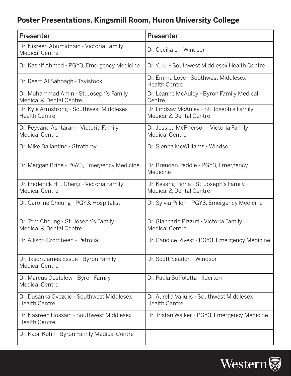# **Poster Presentations, Kingsmill Room, Huron University College**

| Presenter                                                           | <b>Presenter</b>                                                     |
|---------------------------------------------------------------------|----------------------------------------------------------------------|
| Dr. Nisreen Abumiddain - Victoria Family<br><b>Medical Centre</b>   | Dr. Cecilia Li - Windsor                                             |
| Dr. Kashif Ahmed - PGY3, Emergency Medicine                         | Dr. Yu Li - Southwest Middlesex Health Centre                        |
| Dr. Reem Al Sabbagh - Tavistock                                     | Dr. Emma Love - Southwest Middlesex<br><b>Health Centre</b>          |
| Dr. Muhammad Amin - St. Joseph's Family<br>Medical & Dental Centre  | Dr. Leanne McAuley - Byron Family Medical<br>Centre                  |
| Dr. Kyle Armstrong - Southwest Middlesex<br><b>Health Centre</b>    | Dr. Lindsay McAuley - St. Joseph's Family<br>Medical & Dental Centre |
| Dr. Peyvand Ashtarani - Victoria Family<br><b>Medical Centre</b>    | Dr. Jessica McPherson - Victoria Family<br><b>Medical Centre</b>     |
| Dr. Mike Ballantine - Strathroy                                     | Dr. Sienna McWilliams - Windsor                                      |
| Dr. Meggan Brine - PGY3, Emergency Medicine                         | Dr. Brendan Peddle - PGY3, Emergency<br>Medicine                     |
| Dr. Frederick H.T. Cheng - Victoria Family<br><b>Medical Centre</b> | Dr. Kesang Pema - St. Joseph's Family<br>Medical & Dental Centre     |
| Dr. Caroline Cheung - PGY3, Hospitalist                             | Dr. Sylvia Pillon - PGY3, Emergency Medicine                         |
| Dr. Tom Cheung - St. Joseph's Family<br>Medical & Dental Centre     | Dr. Giancarlo Pizzuti - Victoria Family<br><b>Medical Centre</b>     |
| Dr. Allison Crombeen - Petrolia                                     | Dr. Candice Rivest - PGY3, Emergency Medicine                        |
| Dr. Jason James Essue - Byron Family<br><b>Medical Centre</b>       | Dr. Scott Seadon - Windsor                                           |
| Dr. Marcus Gostelow - Byron Family<br><b>Medical Centre</b>         | Dr. Paula Suffoletta - Ilderton                                      |
| Dr. Dusanka Gvozdic - Southwest Middlesex<br><b>Health Centre</b>   | Dr. Aurelia Valiulis - Southwest Middlesex<br><b>Health Centre</b>   |
| Dr. Nasreen Hossain - Southwest Middlesex<br><b>Health Centre</b>   | Dr. Tristan Walker - PGY3, Emergency Medicine                        |
| Dr. Kapil Kohil - Byron Family Medical Centre                       |                                                                      |

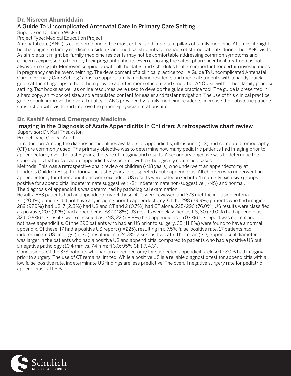# **Dr. Nisreen Abumiddain**

## A Guide To Uncomplicated Antenatal Care In Primary Care Setting

Supervisor: Dr. Jamie Wickett

Project Type: Medical Education Project

Antenatal care (ANC) is considered one of the most critical and important pillars of family medicine. At times, it might be challenging to family medicine residents and medical students to manage obstetric patients during their ANC visits. As simple as it might be, family medicine residents may not be comfortable addressing common symptoms and concerns expressed to them by their pregnant patients. Even choosing the safest pharmaceutical treatment is not always an easy job. Moreover, keeping up with all the dates and schedules that are important for certain investigations in pregnancy can be overwhelming. The development of a clinical practice tool "A Guide To Uncomplicated Antenatal Care In Primary Care Setting" aims to support family medicine residents and medical students with a handy, quick guide at their fingertips to help them provide a better, more efficient and smoother ANC visit within their family practice setting. Text books as well as online resources were used to develop the guide practice tool. The guide is presented in a hard copy, shirt-pocket size, and a tabulated content for easier and faster navigation. The use of this clinical practice guide should improve the overall quality of ANC provided by family medicine residents, increase their obstetric patients satisfaction with visits and improve the patient-physician relationship.

#### **Dr. Kashif Ahmed, Emergency Medicine**

# Imaging in the Diagnosis of Acute Appendicitis in Children: A retrospective chart review

Supervisor: Dr. Karl Theakston

Project Type: Clinical Audit

Introduction: Among the diagnostic modalities available for appendicitis, ultrasound (US) and computed tomography (CT) are commonly used. The primary objective was to determine how many pediatric patients had imaging prior to appendectomy over the last 5 years, the type of imaging and results. A secondary objective was to determine the sonographic features of acute appendicitis associated with pathologically confirmed cases.

Methods: This was a retrospective chart review of children (<18 years) who underwent an appendectomy at London's Children Hospital during the last 5 years for suspected acute appendicitis. All children who underwent an appendectomy for other conditions were excluded. US results were categorized into 4 mutually exclusive groups: positive for appendicitis, indeterminate suggestive (I-S), indeterminate non-suggestive (I-NS) and normal. The diagnosis of appendicitis was determined by pathological examination.

Results: 663 patients had an appendectomy. Of those, 400 were reviewed and 373 met the inclusion criteria. 75 (20.1%) patients did not have any imaging prior to appendectomy. Of the 298 (79.9%) patients who had imaging, 289 (97.0%) had US, 7 (2.3%) had US and CT and 2 (0.7%) had CT alone. 225/296 (76.0%) US results were classified as positive, 207 (92%) had appendicitis. 38 (12.8%) US results were classified as I-S, 30 (79.0%) had appendicitis. 32 (10.8%) US results were classified as I-NS, 22 (68.8%) had appendicitis. 1 (0.4%) US report was normal and did not have appendicitis. Of the 296 patients who had an US prior to surgery, 35 (11.8%) were found to have a normal appendix. Of these, 17 had a positive US report (n=225), resulting in a 7.5% false-positive rate. 17 patients had indeterminate US findings (n=70), resulting in a 24.3% false-positive rate. The mean (SD) appendiceal diameter was larger in the patients who had a positive US and appendicitis, compared to patients who had a positive US but a negative pathology (10.4 mm vs. 7.4 mm;  $f$  3.0; 95% CI: 1.7, 4.3).

Conclusions: Of the 373 patients who had an appendectomy for suspected appendicitis, close to 80% had imaging prior to surgery. The use of CT remains limited. While a positive US is a reliable diagnostic test for appendicitis with a low false-positive rate, indeterminate US findings are less predictive. The overall negative surgery rate for pediatric appendicitis is 11.5%.

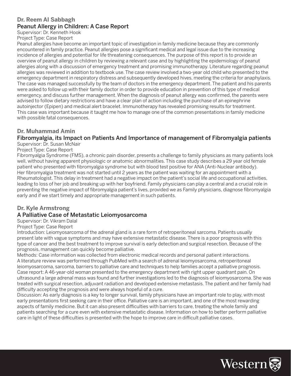# **Dr. Reem Al Sabbagh** Peanut Allergy in Children: A Case Report

Supervisor: Dr. Kenneth Hook

Project Type: Case Report

Peanut allergies have become an important topic of investigation in family medicine because they are commonly encountered in family practice. Peanut allergies pose a significant medical and legal issue due to the increasing incidence of allergies and potential for life threatening consequences. The purpose of this report is to provide an overview of peanut allergy in children by reviewing a relevant case and by highlighting the epidemiology of peanut allergies along with a discussion of emergency treatment and promising immunotherapy. Literature regarding peanut allergies was reviewed in addition to textbook use. The case review involved a two-year old child who presented to the emergency department in respiratory distress and subsequently developed hives, meeting the criteria for anaphylaxis. The case was managed successfully by the team of doctors in the emergency department. The patient and his parents were asked to follow up with their family doctor in order to provide education in prevention of this type of medical emergency, and discuss further management. When the diagnosis of peanut allergy was confirmed, the parents were advised to follow dietary restrictions and have a clear plan of action including the purchase of an epinephrine autoinjector (Epipen) and medical alert bracelet. Immunotherapy has revealed promising results for treatment. This case was important because it taught me how to manage one of the common presentations in family medicine with possible fatal consequences.

#### **Dr. Muhammad Amin**

# Fibromyalgia, its Impact on Patients And Importance of management of Fibromyalgia patients

Supervisor: Dr. Susan McNair

Project Type: Case Report

Fibromyalgia Syndrome (FMS), a chronic pain disorder, presents a challenge to family physicians as many patients look well, without having apparent physiologic or anatomic abnormalities. This case study describes a 29 year old female patient who presented with fibromyalgia syndrome but with blood test positive for ANA (Anti-Nuclear antibody). Her fibromyalgia treatment was not started until 2 years as the patient was waiting for an appointment with a Rheumatologist. This delay in treatment had a negative impact on the patient's social life and occupational activities, leading to loss of her job and breaking up with her boyfriend. Family physicians can play a central and a crucial role in preventing the negative impact of fibromyalgia patient's lives, provided we as Family physicians, diagnose fibromyalgia early and if we start timely and appropriate management in such patients.

#### **Dr. Kyle Armstrong**

#### A Palliative Case of Metastatic Leiomyosarcoma

Supervisor: Dr. Vikram Dalal

#### Project Type: Case Report

Introduction: Leiomyosarcoma of the adrenal gland is a rare form of retroperitoneal sarcoma. Patients usually present late with vague symptoms and may have extensive metastatic disease. There is a poor prognosis with this type of cancer and the best treatment to improve survival is early detection and surgical resection. Because of the prognosis, management can quickly become palliative.

Methods: Case information was collected from electronic medical records and personal patient interactions. A literature review was performed through PubMed with a search of adrenal leiomyosarcoma, retroperitoneal leiomyosarcoma, sarcoma, barriers to palliative care and techniques to help families accept a palliative prognosis. Case report: A 46-year-old woman presented to the emergency department with right upper quadrant pain. On ultrasound a large adrenal mass was found and further investigations led to the diagnosis of leiomyosarcoma. She was treated with surgical resection, adjuvant radiation and developed extensive metastasis. The patient and her family had difficulty accepting the prognosis and were always hopeful of a cure.

Discussion: As early diagnosis is a key to longer survival, family physicians have an important role to play, with most early presentations first seeking care in their office. Palliative care is an important, and one of the most rewarding aspects of family medicine. But it can also present difficulties with barriers to care, treating the whole family and patients searching for a cure even with extensive metastatic disease. Information on how to better perform palliative care in light of these difficulties is presented with the hope to improve care in difficult palliative cases.

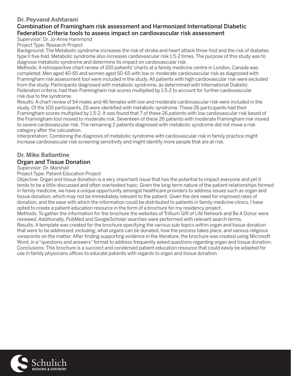## **Dr. Peyvand Ashtarani**

#### Combination of Framingham risk assessment and Harmonized International Diabetic Federation Criteria tools to assess impact on cardiovascular risk assessment

#### Supervisor: Dr. Jo-Anne Hammond

Project Type: Research Project

Background: The Metabolic syndrome increases the risk of stroke and heart attack three-fold and the risk of diabetes type II five-fold. Metabolic syndrome also increases cardiovascular risk 1.5-2 times. The purpose of this study was to diagnose metabolic syndrome and determine its impact on cardiovascular risk.

Methods: A retrospective chart review of 100 patients' charts at a family medicine centre in London, Canada was completed. Men aged 40-65 and women aged 50-65 with low or moderate cardiovascular risk as diagnosed with Framingham risk assessment tool were included in the study. All patients with high cardiovascular risk were excluded from the study. Participants diagnosed with metabolic syndrome, as determined with International Diabetic Federation criteria, had their Framingham risk scores multiplied by 1.5-2 to account for further cardiovascular risk due to the syndrome.

Results: A chart review of 54 males and 46 females with low and moderate cardiovascular risk were included in the study. Of the 100 participants, 26 were identified with metabolic syndrome. These 26 participants had their Framingham scores multiplied by 1.5-2. It was found that 7 of these 26 patients with low cardiovascular risk based of the Framingham tool moved to moderate risk. Seventeen of these 26 patients with moderate Framingham risk moved to severe cardiovascular risk. The remaining 2 patients diagnosed with metabolic syndrome did not move a risk category after the calculation.

Interpretation: Combining the diagnosis of metabolic syndrome with cardiovascular risk in family practice might increase cardiovascular risk screening sensitivity and might identify more people that are at risk.

# **Dr. Mike Ballantine**

#### Organ and Tissue Donation

#### Supervisor: Dr. Marshall

Project Type: Patient Education Project

Objective: Organ and tissue donation is a very important issue that has the potential to impact everyone and yet it tends to be a little-discussed and often overlooked topic. Given the long-term nature of the patient relationships formed in family medicine, we have a unique opportunity amongst healthcare providers to address issues such as organ and tissue donation, which may not be immediately relevant to the patient. Given the dire need for improved rates of donation, and the ease with which the information could be distributed to patients in family medicine clinics, I have opted to create a patient education resource in the form of a brochure for my residency project.

Methods: To gather the information for the brochure the websites of Trillium Gift of Life Network and Be A Donor were reviewed. Additionally, PubMed and GoogleScholar searches were performed with relevant search terms.

Results: A template was created for the brochure specifying the various sub-topics within organ and tissue donation that were to be addressed, including; what organs can be donated, how the process takes place, and various religious viewpoints on the matter. After finding supporting evidence in the literature, the brochure was created using Microsoft Word, in a "questions and answers" format to address frequently asked questions regarding organ and tissue donation. Conclusions: This brochure is a succinct and condensed patient education resource that could easily be adapted for use in family physicians offices to educate patients with regards to organ and tissue donation.

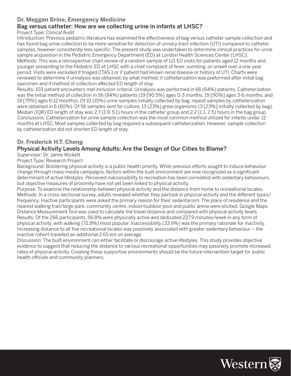#### **Dr. Meggan Brine, Emergency Medicine**

# Bag versus catheter: How are we collecting urine in infants at LHSC?

Project Type: Clinical Audit

Introduction: Previous pediatric literature has examined the effectiveness of bag versus catheter sample collection and has found bag urine collection to be more sensitive for detection of urinary tract infection (UTI) compared to catheter samples, however consistently less specific. The present study was undertaken to determine clinical practices for urine sample acquisition in the Pediatric Emergency Department (ED) at London Health Sciences Center (LHSC). Methods: This was a retrospective chart review of a random sample of 121 ED visits for patients aged 12 months and younger presenting to the Pediatric ED at LHSC with a chief complaint of fever, vomiting, or unwell over a one-year period. Visits were excluded if triaged CTAS 1 or if patient had known renal disease or history of UTI. Charts were reviewed to determine if urinalysis was obtained, by what method, if catheterization was preformed after initial bag specimen and if method of collection affected ED length of stay.

Results: 103 patient encounters met inclusion criteria. Urinalysis was performed in 66 (64%) patients. Catheterization was the initial method of collection in 56 (84%) patients (19 [90.5%] ages 0-3 months, 19 [90%] ages 3-6 months, and 19 [75%] ages 6-12 months). Of 10 (15%) urine samples initially collected by bag, repeat samples by catheterization were obtained in 6 (60%). Of 56 samples sent for culture, 13 (23%) grew organisms (3 [23%] initially collected by bag). Median (IQR) ED length of stay was 2.7 (1.9, 5.1) hours in the catheter group and 2.2 (1.1, 2.5) hours in the bag group. Conclusions: Catheterization for urine sample collection was the most common method utilized for infants under 12 months at LHSC. Most samples collected by bag required a subsequent catheterization. However, sample collection by catheterization did not shorten ED length of stay.

#### **Dr. Frederick H.T. Cheng**

#### Physical Activity Levels Among Adults: Are the Design of Our Cities to Blame?

#### Supervisor: Dr. Jamie Wickett

Project Type: Research Project

Background: Bolstering physical activity is a public health priority. While previous efforts sought to induce behaviour change through mass-media campaigns, factors within the built environment are now recognized as a significant determinant of active lifestyles. Perceived inaccessibility to recreation has been correlated with sedentary behaviours, but objective measures of proximity have not yet been linked to physical activity.

Purpose: To examine the relationship between physical activity and the distance from home to recreational locales. Methods: In a cross-sectional survey, adults revealed whether they partook in physical activity and the different types/ frequency. Inactive participants were asked the primary reason for their sedentarism. The place of residence and the nearest walking trail/large park, community centre, indoor/outdoor pool and public arena were elicited. Google Maps Distance Measurement Tool was used to calculate the travel distance and compared with physical activity levels. Results: Of the 266 participants, 56.8% were physically active and dedicated 227.9 minutes/week in any form of physical activity, with walking (72.8%) most popular. Inaccessibility (33.9%) was the primary rationale for inactivity. Increasing distance to all five recreational locales was positively associated with greater sedentary behaviour – the inactive cohort travelled an additional 2.65 km on average.

Discussion: The built environment can either facilitate or discourage active lifestyles. This study provides objective evidence to suggest that reducing the distance to various recreational opportunities may passively promote increased rates of physical activity. Creating these supportive environments should be the future intervention target for public health officials and community planners.

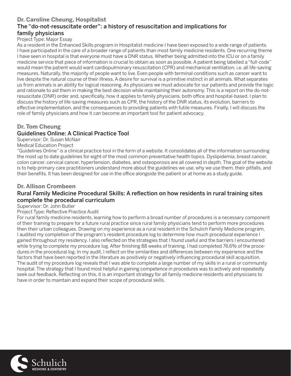#### **Dr. Caroline Cheung, Hospitalist** The "do-not-resuscitate order": a history of resuscitation and implications for family physicians

#### Project Type: Major Essay

As a resident in the Enhanced Skills program in Hospitalist medicine I have been exposed to a wide range of patients. I have participated in the care of a broader range of patients than most family medicine residents. One recurring theme I have seen in hospital is that everyone must have a DNR status. Whether being admitted into the ICU or on a family medicine service that piece of information is crucial to obtain as soon as possible. A patient being labelled a "full-code" would mean the patient would want cardiopulmonary resuscitation (CPR) and mechanical ventilation, i.e. all life-saving measures. Naturally, the majority of people want to live. Even people with terminal conditions such as cancer want to live despite the natural course of their illness. A desire for survival is a primitive instinct in all animals. What separates us from animals is an ability for logical reasoning. As physicians we must advocate for our patients and provide the logic and rationale to aid them in making the best decision while maintaining their autonomy. This is a report on the do-notresuscitate (DNR) order and, specifically, how it applies to family physicians, both office and hospital-based. I plan to discuss the history of life-saving measures such as CPR, the history of the DNR status, its evolution, barriers to effective implementation, and the consequences to providing patients with futile measures. Finally, I will discuss the role of family physicians and how it can become an important tool for patient advocacy.

#### **Dr. Tom Cheung**

#### Guidelines Online: A Clinical Practice Tool

Supervisor: Dr. Susan McNair

Medical Education Project

"Guidelines Online" is a clinical practice tool in the form of a website. It consolidates all of the information surrounding the most up to date guidelines for eight of the most common preventative health topics. Dyslipidemia, breast cancer, colon cancer, cervical cancer, hypertension, diabetes, and osteoporosis are all covered in depth. The goal of the website is to help primary care practitioners understand more about the guidelines we use, why we use them, their pitfalls, and their benefits. It has been designed for use in the office alongside the patient or at home as a study guide.

#### **Dr. Allison Crombeen**

#### Rural Family Medicine Procedural Skills: A reflection on how residents in rural training sites complete the procedural curriculum

Supervisor: Dr. John Butler

Project Type: Reflective Practice Audit

For rural family medicine residents, learning how to perform a broad number of procedures is a necessary component of their training to prepare for a future rural practice since rural family physicians tend to perform more procedures then their urban colleagues. Drawing on my experience as a rural resident in the Schulich Family Medicine program, I audited my completion of the program's resident procedure log to determine how much procedural experience I gained throughout my residency. I also reflected on the strategies that I found useful and the barriers I encountered while trying to complete my procedure log. After finishing 88 weeks of training, I had completed 76.6% of the procedures in the procedural log. In my audit, I reflect on the similarities and differences between my experience and the factors that have been reported in the literature as positively or negatively influencing procedural skill acquisition. The audit of my procedure log reveals that I was able to complete a large number of my skills in a rural or community hospital. The strategy that I found most helpful in gaining competence in procedures was to actively and repeatedly seek out feedback. Reflecting on this, it is an important strategy for all family medicine residents and physicians to have in order to maintain and expand their scope of procedural skills.

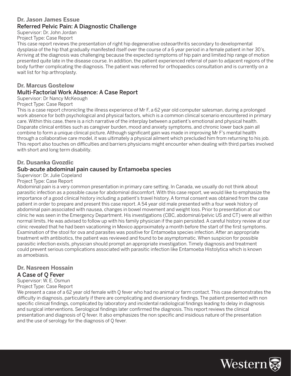#### **Dr. Jason James Essue** Referred Pelvic Pain: A Diagnostic Challenge

Supervisor: Dr. John Jordan

#### Project Type: Case Report

This case report reviews the presentation of right hip degenerative osteoarthritis secondary to developmental dysplasia of the hip that gradually manifested itself over the course of a 6 year period in a female patient in her 30's. Arriving at the diagnosis was challenging because the expected symptoms of hip pain and limited hip range of motion presented quite late in the disease course. In addition, the patient experienced referral of pain to adjacent regions of the body further complicating the diagnosis. The patient was referred for orthopaedics consultation and is currently on a wait list for hip arthroplasty.

#### **Dr. Marcus Gostelow**

#### Multi-Factorial Work Absence: A Case Report

#### Supervisor: Dr Nancy McKeough

#### Project Type: Case Report

This is a case report chronicling the illness experience of Mr F, a 62 year old computer salesman, during a prolonged work absence for both psychological and physical factors, which is a common clinical scenario encountered in primary care. Within this case, there is a rich narrative of the interplay between a patient's emotional and physical health. Disparate clinical entities such as caregiver burden, mood and anxiety symptoms, and chronic lower back pain all combine to form a unique clinical picture. Although significant gain was made in improving Mr F's mental health through a collaborative care model, it was ultimately a physical ailment which precluded him from returning to his job. This report also touches on difficulties and barriers physicians might encounter when dealing with third parties involved with short and long term disability.

#### **Dr. Dusanka Gvozdic**

#### Sub-acute abdominal pain caused by Entamoeba species

#### Supervisor: Dr. Julie Copeland

#### Project Type: Case Report

Abdominal pain is a very common presentation in primary care setting. In Canada, we usually do not think about parasitic infection as a possible cause for abdominal discomfort. With this case report, we would like to emphasize the importance of a good clinical history including a patient's travel history. A formal consent was obtained from the case patient in order to prepare and present this case report. A 54 year old male presented with a four week history of abdominal pain associated with nausea, changes in bowel movement and weight loss. Prior to presentation at our clinic he was seen in the Emergency Department. His investigations (CBC, abdominal/pelvic US and CT) were all within normal limits. He was advised to follow up with his family physician if the pain persisted. A careful history review at our clinic revealed that he had been vacationing in Mexico approximately a month before the start of the first symptoms. Examination of the stool for ova and parasites was positive for Entamoeba species infection. After an appropriate treatment with antibiotics, the patient was reviewed and found to be asymptomatic. When suspicion for possible parasitic infection exists, physician should prompt an appropriate investigation. Timely diagnosis and treatment could prevent serious complications associated with parasitic infection like Entamoeba Histolytica which is known as amoebiasis.

# **Dr. Nasreen Hossain**

#### A Case of Q Fever

Supervisor: W. E. Osmun Project Type: Case Report

We present a case of a 62 year old female with Q fever who had no animal or farm contact. This case demonstrates the difficulty in diagnosis, particularly if there are complicating and diversionary findings. The patient presented with non specific clinical findings, complicated by laboratory and incidental radiological findings leading to delay in diagnosis and surgical interventions. Serological findings later confirmed the diagnosis. This report reviews the clinical presentation and diagnosis of Q fever. It also emphasizes the non specific and insidious nature of the presentation and the use of serology for the diagnosis of Q fever.

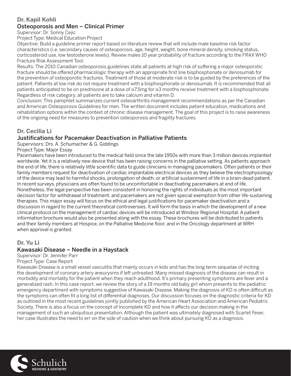## **Dr. Kapil Kohli**

# Osteoporosis and Men – Clinical Primer

Supervisor: Dr. Sonny Cejic

Project Type: Medical Education Project

Objective: Build a guideline primer report based on literature review that will include male baseline risk factor characteristics (i.e. secondary causes of osteoporosis, age, height, weight, bone mineral density, smoking status, corticosteroid use, low testosterone levels). Review males 10 year probability of fracture according to the FRAX WHO Fracture Risk Assessment Tool.

Results: The 2010 Canadian osteoporosis guidelines state all patients at high risk of suffering a major osteoporotic fracture should be offered pharmacologic therapy with an appropriate first line bisphosphonate or denosumab for the prevention of osteoporotic fractures. Treatment of those at moderate risk is to be guided by the preferences of the patient. Patients at low risk do not require treatment with a bisphosphonate or denosumab. It is recommended that all patients anticipated to be on prednisone at a dose of ≥7.5mg for ≥3 months receive treatment with a bisphosphonate. Regardless of risk category, all patients are to take calcium and vitamin D.

Conclusion: This pamphlet summarizes current osteoarthritis management recommendations as per the Canadian and American Osteoporosis Guidelines for men. The written document includes patient education, medications and rehabilitation options within the context of chronic disease management. The goal of this project is to raise awareness of the ongoing need for measures to prevention osteoporosis and fragility fractures.

#### **Dr. Cecilia Li**

# Justifications for Pacemaker Deactivation in Palliative Patients

Supervisors: Drs. A. Schumacher & G. Giddings

Project Type: Major Essay

Pacemakers have been introduced to the medical field since the late 1950s with more than 3 million devices implanted worldwide. Yet it is a relatively new device that has been raising concerns in the palliative setting. As patients approach the end of life, there is relatively little scientific data to guide clinicians in managing pacemakers. Often patients or their family members request for deactivation of cardiac implantable electrical devices as they believe the electrophysiology of the device may lead to harmful shocks, prolongation of death, or artificial sustainment of life in a brain-dead patient. In recent surveys, physicians are often found to be uncomfortable in deactivating pacemakers at end of life. Nonetheless, the legal perspective has been consistent in honoring the rights of individuals as the most important decision factor for withdrawal of treatment, and pacemakers are not given special exemption from other life-sustaining therapies. This major essay will focus on the ethical and legal justifications for pacemaker deactivation and a discussion in regard to the current theoretical controversies. It will form the basis in which the development of a new clinical protocol on the management of cardiac devices will be introduced at Windsor Regional Hospital. A patient information brochure would also be presented along with the essay. These brochures will be distributed to patients and their family members at Hospice, on the Palliative Medicine floor, and in the Oncology department at WRH when approval is granted.

#### **Dr. Yu Li**

#### Kawasaki Disease – Needle in a Haystack

Supervisor: Dr. Jennifer Parr

Project Type: Case Report

Kawasaki Disease is a small vessel vasculitis that mainly occurs in kids and has the long term sequelae of inciting the development of coronary artery aneurysms if left untreated. Many missed diagnosis of the disease can result in morbidity and mortality for the patient when they reach adulthood. It's primary presenting symptoms are fever and a generalized rash. In this case report, we review the story of a 19 months old baby girl whom presents to the pediatric emergency department with symptoms suggestive of Kawasaki Disease. Making the diagnosis of KD is often difficult as the symptoms can often fit a long list of differential diagnoses. Our discussion focuses on the diagnostic criteria for KD as outlined in the most recent guidelines jointly published by the American Heart Association and American Pediatric Society. There is also a focus on the concept of Incomplete KD and how it affects our decision making in the management of such an ubiquitous presentation. Although the patient was ultimately diagnosed with Scarlet Fever, her case illustrates the need to err on the side of caution when we think about pursuing KD as a diagnosis.

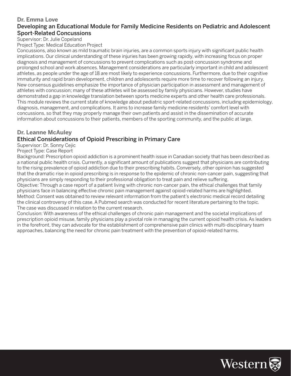#### **Dr. Emma Love** Developing an Educational Module for Family Medicine Residents on Pediatric and Adolescent Sport-Related Concussions

Supervisor: Dr. Julie Copeland

Project Type: Medical Education Project

Concussions, also known as mild traumatic brain injuries, are a common sports injury with significant public health implications. Our clinical understanding of these injuries has been growing rapidly, with increasing focus on proper diagnosis and management of concussions to prevent complications such as post-concussion syndrome and prolonged school and work absences. Management considerations are particularly important in child and adolescent athletes, as people under the age of 18 are most likely to experience concussions. Furthermore, due to their cognitive immaturity and rapid brain development, children and adolescents require more time to recover following an injury. New consensus guidelines emphasize the importance of physician participation in assessment and management of athletes with concussion; many of these athletes will be assessed by family physicians. However, studies have demonstrated a gap in knowledge translation between sports medicine experts and other health care professionals. This module reviews the current state of knowledge about pediatric sport-related concussions, including epidemiology, diagnosis, management, and complications. It aims to increase family medicine residents' comfort level with concussions, so that they may properly manage their own patients and assist in the dissemination of accurate information about concussions to their patients, members of the sporting community, and the public at large.

#### **Dr. Leanne McAuley**

#### Ethical Considerations of Opioid Prescribing in Primary Care

Supervisor: Dr. Sonny Cejic

#### Project Type: Case Report

Background: Prescription opioid addiction is a prominent health issue in Canadian society that has been described as a national public health crisis. Currently, a significant amount of publications suggest that physicians are contributing to the rising prevalence of opioid addiction due to their prescribing habits. Conversely, other opinion has suggested that the dramatic rise in opioid prescribing is in response to the epidemic of chronic non-cancer pain, suggesting that physicians are simply responding to their professional obligation to treat pain and relieve suffering.

Objective: Through a case report of a patient living with chronic non-cancer pain, the ethical challenges that family physicians face in balancing effective chronic pain management against opioid-related harms are highlighted. Method: Consent was obtained to review relevant information from the patient's electronic medical record detailing the clinical controversy of this case. A Pubmed search was conducted for recent literature pertaining to the topic. The case was discussed in relation to the current research.

Conclusion: With awareness of the ethical challenges of chronic pain management and the societal implications of prescription opioid misuse, family physicians play a pivotal role in managing the current opioid health crisis. As leaders in the forefront, they can advocate for the establishment of comprehensive pain clinics with multi-disciplinary team approaches, balancing the need for chronic pain treatment with the prevention of opioid-related harms.

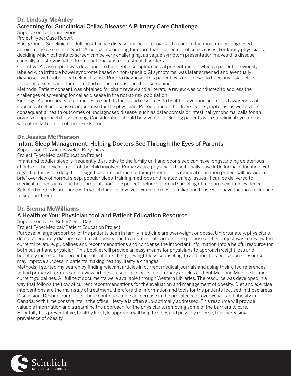#### **Dr. Lindsay McAuley** Screening for Subclinical Celiac Disease: A Primary Care Challenge

Supervisor: Dr. Laura Lyons

Project Type: Case Report

Background: Subclinical, adult-onset celiac disease has been recognized as one of the most under-diagnosed autoimmune diseases in North America, accounting for more than 50 percent of celiac cases. For family physicians, deciding which patients to screen can be very challenging, as vague symptom presentation makes this disease clinically indistinguishable from functional gastrointestinal disorders.

Objective: A case report was developed to highlight a complex clinical presentation in which a patient, previously labeled with irritable bowel syndrome based on non-specific GI symptoms, was later screened and eventually diagnosed with subclinical celiac disease. Prior to diagnosis, this patient was not known to have any risk factors for celiac disease and, therefore, had not been considered for screening.

Methods: Patient consent was obtained for chart review and a literature review was conducted to address the challenges of screening for celiac disease in the not-at-risk population.

Findings: As primary care continues to shift its focus and resources to health prevention, increased awareness of subclinical celiac disease is imperative for the physician. Recognition of the diversity of symptoms, as well as the consequential health outcomes of undiagnosed disease, such as osteoporosis or intestinal lymphoma, calls for an organized approach to screening. Consideration should be given for including patients with subclinical symptoms, who often fall outside of the at-risk group.

#### **Dr. Jessica McPherson**

# Infant Sleep Management: Helping Doctors See Through the Eyes of Parents

Supervisor: Dr. Anna Pawelec-Brzychczy

Project Type: Medical Education Project

Infant and toddler sleep is frequently disruptive to the family unit and poor sleep can have longstanding deleterious effects on the development of the child involved. Primary care physicians traditionally have little formal education with regard to this issue despite it's significant importance to their patients. This medical education project will provide a brief overview of normal sleep, popular sleep-training methods and related safety issues. It can be delivered to medical trainees via a one hour presentation. The project includes a broad sampling of relevant scientific evidence. Selected methods are those with which families involved would be most familiar and those who have the most evidence to support them.

# **Dr. Sienna McWilliams**

# A Healthier You: Physician tool and Patient Education Resource

Supervisor: Dr. G. Butler/Dr. J. Day

#### Project Type: Medical/Patient Education Project

Purpose: A large proportion of the patients seen in family medicine are overweight or obese. Unfortunately, physicians do not adequately diagnose and treat obesity due to a number of barriers. The purpose of this project was to review the current literature, guidelines and recommendations and condense the important information into a helpful resource for both patient and physician. This booklet will provide an easy means for physicians to approach weight loss and hopefully increase the percentage of patients that get weight loss counseling. In addition, this educational resource may improve success in patients making healthy lifestyle changes.

Methods: I started my search by finding relevant articles in current medical journals and using their cited references to find primary literature and review articles. I used UpToDate for summary articles and PubMed and Medline to find current guidelines. All full text documents were available through Western Libraries. The resource was developed in a way that follows the flow of current recommendations for the evaluation and management of obesity. Diet and exercise interventions are the mainstay of treatment, therefore the information and tools for the patients focused in those areas. Discussion: Despite our efforts, there continues to be an increase in the prevalence of overweight and obesity in Canada. With time constraints in the office, lifestyle is often sub-optimally addressed. This resource will provide valuable information and streamline the approach for the physicians, removing some of the barriers to care. Hopefully this preventative, healthy lifestyle approach will help to slow, and possibly reverse, this increasing prevalence of obesity.

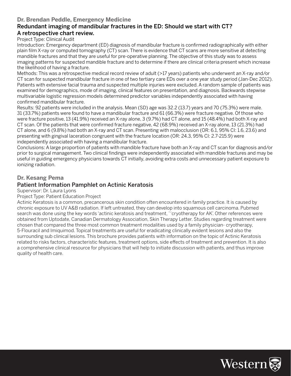#### **Dr. Brendan Peddle, Emergency Medicine**

#### Redundant imaging of mandibular fractures in the ED: Should we start with CT? A retrospective chart review.

#### Project Type: Clinical Audit

Introduction: Emergency department (ED) diagnosis of mandibular fracture is confirmed radiographically with either plain film X-ray or computed tomography (CT) scan. There is evidence that CT scans are more sensitive at detecting mandible fractures and that they are useful for pre-operative planning. The objective of this study was to assess imaging patterns for suspected mandible fracture and to determine if there are clinical criteria present which increase the likelihood of having a fracture.

Methods: This was a retrospective medical record review of adult (>17 years) patients who underwent an X-ray and/or CT scan for suspected mandibular fracture in one of two tertiary care EDs over a one year study period (Jan-Dec 2012). Patients with extensive facial trauma and suspected multiple injuries were excluded. A random sample of patients was examined for demographics, mode of imaging, clinical features on presentation, and diagnosis. Backwards stepwise multivariable logistic regression models determined predictor variables independently associated with having confirmed mandibular fracture.

Results: 92 patients were included in the analysis. Mean (SD) age was 32.2 (13.7) years and 70 (75.3%) were male. 31 (33.7%) patients were found to have a mandibular fracture and 61 (66.3%) were fracture negative. Of those who were fracture positive, 13 (41.9%) received an X-ray alone, 3 (9.7%) had CT alone, and 15 (48.4%) had both X-ray and CT scan. Of the patients that were confirmed fracture negative, 42 (68.9%) received an X-ray alone, 13 (21.3%) had CT alone, and 6 (9.8%) had both an X-ray and CT scan. Presenting with malocclusion (OR: 6.1, 95% CI: 1.6, 23.6) and presenting with gingival laceration congruent with the fracture location (OR: 24.3, 95% CI: 2.7-215.9) were independently associated with having a mandibular fracture.

Conclusions: A large proportion of patients with mandible fracture have both an X-ray and CT scan for diagnosis and/or prior to surgical management. Two clinical findings were independently associated with mandible fractures and may be useful in guiding emergency physicians towards CT initially, avoiding extra costs and unnecessary patient exposure to ionizing radiation.

#### **Dr. Kesang Pema**

#### Patient Information Pamphlet on Actinic Keratosis

Supervisor: Dr. Laura Lyons

#### Project Type: Patient Education Project

Actinic Keratosis is a common, precancerous skin condition often encountered in family practice. It is caused by chronic exposure to UV A&B radiation. If left untreated, they can develop into squamous cell carcinoma. Pubmed search was done using the key words 'actinic keratosis and treatment, ' 'cryotherapy for AK'. Other references were obtained from Uptodate, Canadian Dermatology Association, Skin Therapy Letter. Studies regarding treatment were chosen that compared the three most common treatment modalities used by a family physician- cryotherapy, 5-Flouracil and Imiquimod. Topical treatments are useful for eradicating clinically evident lesions and also the surrounding sub clinical lesions. This brochure provides patients with information on the topic of Actinic Keratosis related to risks factors, characteristic features, treatment options, side effects of treatment and prevention. It is also a comprehensive clinical resource for physicians that will help to initiate discussion with patients, and thus improve quality of health care.

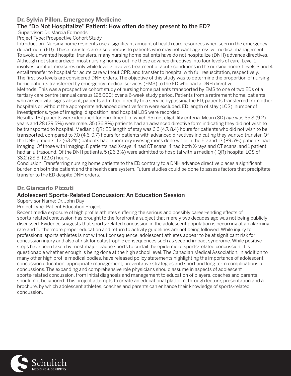#### **Dr. Sylvia Pillon, Emergency Medicine**

# The "Do Not Hospitalize" Patient: How often do they present to the ED?

Supervisor: Dr. Marcia Edmonds

Project Type: Prospective Cohort Study

Introduction: Nursing home residents use a significant amount of health care resources when seen in the emergency department (ED). These transfers are also onerous to patients who may not want aggressive medical management. To avoid unwanted hospital transfers, many nursing home patients have do not hospitalize (DNH) advance directives. Although not standardized, most nursing homes outline these advance directives into four levels of care. Level 1 involves comfort measures only while level 2 involves treatment of acute conditions in the nursing home. Levels 3 and 4 entail transfer to hospital for acute care without CPR, and transfer to hospital with full resuscitation, respectively. The first two levels are considered DNH orders. The objective of this study was to determine the proportion of nursing home patients transferred by emergency medical services (EMS) to the ED who had a DNH directive.

Methods: This was a prospective cohort study of nursing home patients transported by EMS to one of two EDs of a tertiary care centre (annual census 125,000) over a 6-week study period. Patients from a retirement home, patients who arrived vital signs absent, patients admitted directly to a service bypassing the ED, patients transferred from other hospitals or without the appropriate advanced directive form were excluded. ED length of stay (LOS), number of investigations, type of imaging, disposition, and hospital LOS were recorded.

Results: 167 patients were identified for enrollment, of which 95 met eligibility criteria. Mean (SD) age was 85.8 (9.2) years and 28 (29.5%) were male. 35 (36.8%) patients had an advanced directive form indicating they did not wish to be transported to hospital. Median (IQR) ED length of stay was 6.6 (4.7, 8.4) hours for patients who did not wish to be transported, compared to 7.0 (4.6, 9.7) hours for patients with advanced directives indicating they wanted transfer. Of the DNH patients, 12 (63.2%) patients had laboratory investigations done while in the ED and 17 (89.5%) patients had imaging. Of those with imaging, 8 patients had X-rays, 4 had CT scans, 4 had both X-rays and CT scans, and 1 patient had an ultrasound. Of the DNH patients, 5 (26.3%) were admitted to hospital with a median (IQR) hospital LOS of 38.2 (28.3, 122.0) hours.

Conclusion: Transferring nursing home patients to the ED contrary to a DNH advance directive places a significant burden on both the patient and the health care system. Future studies could be done to assess factors that precipitate transfer to the ED despite DNH orders.

#### **Dr. Giancarlo Pizzuti**

#### Adolescent Sports-Related Concussion: An Education Session

#### Supervisor Name: Dr. John Day

#### Project Type: Patient Education Project

Recent media exposure of high profile athletes suffering the serious and possibly career-ending effects of sports-related concussion has brought to the forefront a subject that merely two decades ago was not being publicly discussed. Evidence suggests that sports-related concussion in the adolescent population is occurring at an alarming rate and furthermore proper education and return to activity guidelines are not being followed. While injury to professional sports athletes is not without consequence, adolescent athletes appear to be at significant risk for concussion injury and also at risk for catastrophic consequences such as second impact syndrome. While positive steps have been taken by most major league sports to curtail the epidemic of sports-related concussion, it is questionable whether enough is being done at the high school level. The Canadian Medical Association, in addition to many other high profile medical bodies, have released policy statements highlighting the importance of adolescent concussion education, appropriate management, preventative strategies and short and long term complications of concussions. The expanding and comprehensive role physicians should assume in aspects of adolescent sports-related concussion, from initial diagnosis and management to education of players, coaches and parents, should not be ignored. This project attempts to create an educational platform, through lecture, presentation and a brochure, by which adolescent athletes, coaches and parents can enhance their knowledge of sports-related concussion.

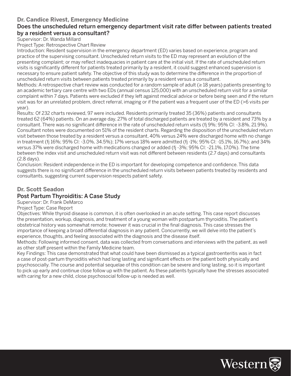#### **Dr. Candice Rivest, Emergency Medicine**

#### Does the unscheduled return emergency department visit rate differ between patients treated by a resident versus a consultant?

Supervisor: Dr. Wanda Millard

Project Type: Retrospective Chart Review

Introduction: Resident supervision in the emergency department (ED) varies based on experience, program and practice of the supervising consultant. Unscheduled return visits to the ED may represent an evolution of the presenting complaint; or may reflect inadequacies in patient care at the initial visit. If the rate of unscheduled return visits is significantly different for patients treated primarily by a resident, it could suggest enhanced supervision is necessary to ensure patient safety. The objective of this study was to determine the difference in the proportion of unscheduled return visits between patients treated primarily by a resident versus a consultant.

Methods: A retrospective chart review was conducted for a random sample of adult (≥ 18 years) patients presenting to an academic tertiary care centre with two EDs (annual census 125,000) with an unscheduled return visit for a similar complaint within 7 days. Patients were excluded if they left against medical advice or before being seen and if the return visit was for an unrelated problem, direct referral, imaging or if the patient was a frequent user of the ED (>6 visits per year).

Results: Of 232 charts reviewed, 97 were included. Residents primarily treated 35 (36%) patients and consultants treated 62 (64%) patients. On an average day, 27% of total discharged patients are treated by a resident and 73% by a consultant. There was no significant difference in the rate of unscheduled return visits (fi 9%; 95% CI: -3.8%, 21.9%). Consultant notes were documented on 51% of the resident charts. Regarding the disposition of the unscheduled return visit between those treated by a resident versus a consultant, 40% versus 24% were discharged home with no change in treatment (fj 16%; 95% CI: -3.0%, 34.5%); 17% versus 18% were admitted (fj -1%; 95% CI: -15.1%, 16.7%); and 34% versus 37% were discharged home with medications changed or added (fj -3%; 95% CI: -21.1%, 17.0%). The time between the index visit and unscheduled return visit was not different between residents (2.7 days) and consultants (2.8 days).

Conclusion: Resident independence in the ED is important for developing competence and confidence. This data suggests there is no significant difference in the unscheduled return visits between patients treated by residents and consultants, suggesting current supervision respects patient safety.

#### **Dr. Scott Seadon**

#### Post Partum Thyroiditis: A Case Study

Supervisor: Dr. Frank DeMarco

Project Type: Case Report

Objectives: While thyroid disease is common, it is often overlooked in an acute setting. This case report discusses the presentation, workup, diagnosis, and treatment of a young woman with postpartum thyroiditis. The patient's obstetrical history was somewhat remote; however it was crucial in the final diagnosis. This case stresses the importance of keeping a broad differential diagnosis in any patient. Concurrently, we will delve into the patient's experience, thoughts, and feeling associated with the diagnosis and the disease itself.

Methods: Following informed consent, data was collected from conversations and interviews with the patient, as well as other staff present within the Family Medicine team.

Key Findings: This case demonstrated that what could have been dismissed as a typical gastroenteritis was in fact a case of post-partum thyroiditis which had long lasting and significant effects on the patient both physically and psychosocially. The course and potential sequelae of this condition can be severe and long lasting, so it is important to pick up early and continue close follow up with the patient. As these patients typically have the stresses associated with caring for a new child, close psychosocial follow-up is needed as well.

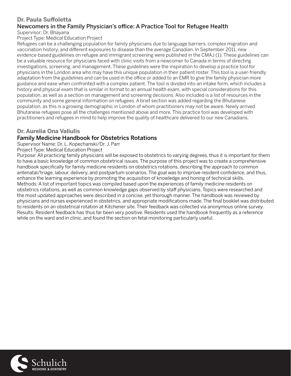#### **Dr. Paula Su#oletta**

#### Newcomers in the Family Physician's office: A Practice Tool for Refugee Health Supervisor: Dr. Bhayana

Project Type: Medical Education Project

Refugees can be a challenging population for family physicians due to language barriers, complex migration and vaccination history, and different exposures to disease than the average Canadian. In September 2011, new evidence-based guidelines on refugee and immigrant screening were published in the CMAJ (1). These guidelines can be a valuable resource for physicians faced with clinic visits from a newcomer to Canada in terms of directing investigations, screening, and management. These guidelines were the inspiration to develop a practice tool for physicians in the London area who may have this unique population in their patient roster. This tool is a user-friendly adaptation from the guidelines and can be used in the office or added to an EMR to give the family physician more guidance and ease when confronted with a complex patient. The tool is divided into an intake form, which includes a history and physical exam that is similar in format to an annual health exam, with special considerations for this population, as well as a section on management and screening decisions. Also included is a list of resources in the community and some general information on refugees. A brief section was added regarding the Bhutanese population, as this is a growing demographic in London of whom practitioners may not be aware. Newly arrived Bhutanese refugees pose all the challenges mentioned above and more. This practice tool was developed with practitioners and refugees in mind to help improve the quality of healthcare delivered to our new Canadians.

# **Dr. Aurelia Ona Valiulis**

# Family Medicine Handbook for Obstetrics Rotations

Supervisor Name: Dr. L. Kopechanski/Dr. J. Parr

Project Type: Medical Education Project

Purpose: All practicing family physicians will be exposed to obstetrics to varying degrees, thus it is important for them to have a basic knowledge of common obstetrical issues. The purpose of this project was to create a comprehensive handbook specifically for family medicine residents on obstetrics rotations, describing the approach to common antenatal/triage, labour, delivery, and postpartum scenarios. The goal was to improve resident confidence, and thus, enhance the learning experience by promoting the acquisition of knowledge and honing of technical skills. Methods: A list of important topics was compiled based upon the experiences of family medicine residents on obstetrics rotations, as well as common knowledge gaps observed by staff physicians. Topics were researched and the most updated approaches were described in a concise, yet thorough manner. The handbook was reviewed by physicians and nurses experienced in obstetrics, and appropriate modifications made. The final booklet was distributed to residents on an obstetrical rotation at Kitchener site. Their feedback was collected via anonymous online survey. Results: Resident feedback has thus far been very positive. Residents used the handbook frequently as a reference while on the ward and in clinic, and found the section on fetal monitoring particularly useful.

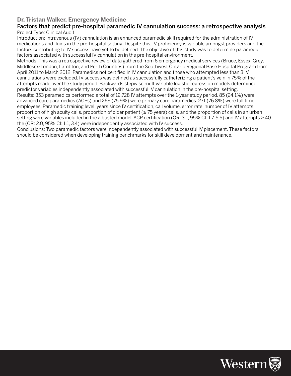#### **Dr. Tristan Walker, Emergency Medicine**

#### Factors that predict pre-hospital paramedic IV cannulation success: a retrospective analysis Project Type: Clinical Audit

Introduction: Intravenous (IV) cannulation is an enhanced paramedic skill required for the administration of IV medications and fluids in the pre-hospital setting. Despite this, IV proficiency is variable amongst providers and the factors contributing to IV success have yet to be defined. The objective of this study was to determine paramedic factors associated with successful IV cannulation in the pre-hospital environment.

Methods: This was a retrospective review of data gathered from 6 emergency medical services (Bruce, Essex, Grey, Middlesex-London, Lambton, and Perth Counties) from the Southwest Ontario Regional Base Hospital Program from April 2011 to March 2012. Paramedics not certified in IV cannulation and those who attempted less than 3 IV cannulations were excluded. IV success was defined as successfully catheterizing a patient's vein in 75% of the attempts made over the study period. Backwards stepwise multivariable logistic regression models determined predictor variables independently associated with successful IV cannulation in the pre-hospital setting. Results: 353 paramedics performed a total of 12,728 IV attempts over the 1-year study period. 85 (24.1%) were advanced care paramedics (ACPs) and 268 (75.9%) were primary care paramedics. 271 (76.8%) were full time employees. Paramedic training level, years since IV certification, call volume, error rate, number of IV attempts, proportion of high acuity calls, proportion of older patient (≥ 75 years) calls, and the proportion of calls in an urban setting were variables included in the adjusted model. ACP certification (OR: 3.1, 95% CI: 1.7, 5.5) and IV attempts  $\geq 40$ the (OR: 2.0, 95% CI: 1.1, 3.4) were independently associated with IV success.

Conclusions: Two paramedic factors were independently associated with successful IV placement. These factors should be considered when developing training benchmarks for skill development and maintenance.